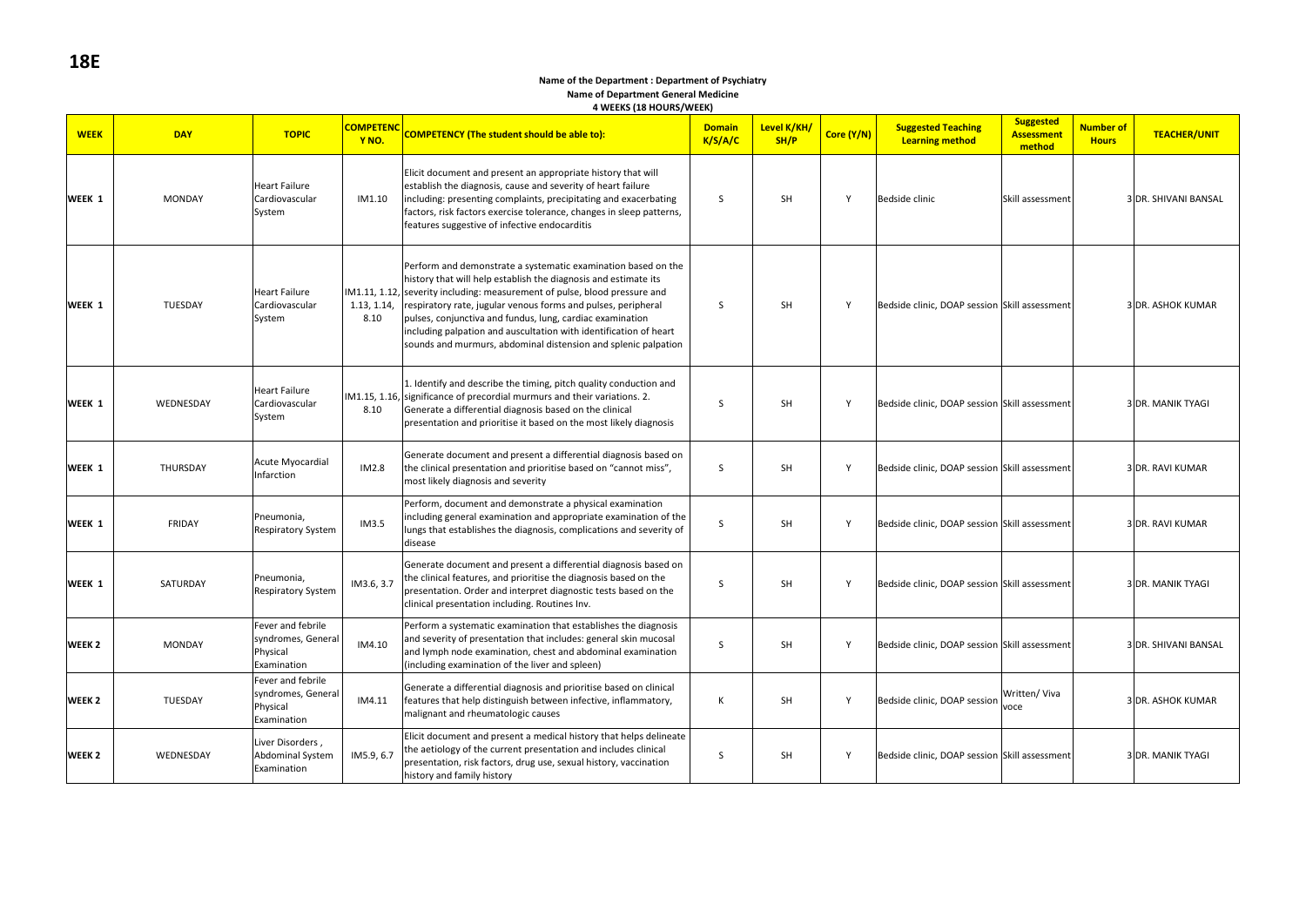#### **Name of the Department : Department of Psychiatry Name of Department General Medicine 4 WEEKS (18 HOURS/WEEK)**

| <b>WEEK</b>       | <b>DAY</b>     | <b>TOPIC</b>                                                       | <b>COMPETENC</b><br>Y <sub>NO</sub> . | <b>COMPETENCY (The student should be able to):</b>                                                                                                                                                                                                                                                                                                                                                                                                                                  | <b>Domain</b><br>K/S/A/C | Level K/KH/<br>SH/P | Core (Y/N)   | <b>Suggested Teaching</b><br><b>Learning method</b> | <b>Suggested</b><br><b>Assessment</b><br>method | <b>Number of</b><br><b>Hours</b> | <b>TEACHER/UNIT</b>      |
|-------------------|----------------|--------------------------------------------------------------------|---------------------------------------|-------------------------------------------------------------------------------------------------------------------------------------------------------------------------------------------------------------------------------------------------------------------------------------------------------------------------------------------------------------------------------------------------------------------------------------------------------------------------------------|--------------------------|---------------------|--------------|-----------------------------------------------------|-------------------------------------------------|----------------------------------|--------------------------|
| WEEK 1            | <b>MONDAY</b>  | <b>Heart Failure</b><br>Cardiovascular<br>System                   | IM1.10                                | Elicit document and present an appropriate history that will<br>establish the diagnosis, cause and severity of heart failure<br>including: presenting complaints, precipitating and exacerbating<br>factors, risk factors exercise tolerance, changes in sleep patterns,<br>features suggestive of infective endocarditis                                                                                                                                                           | S                        | <b>SH</b>           | $\mathsf{v}$ | Bedside clinic                                      | Skill assessment                                |                                  | 3 DR. SHIVANI BANSAL     |
| WEEK 1            | <b>TUESDAY</b> | <b>Heart Failure</b><br>Cardiovascular<br>System                   | 1.13, 1.14,<br>8.10                   | Perform and demonstrate a systematic examination based on the<br>history that will help establish the diagnosis and estimate its<br>IM1.11, 1.12, severity including: measurement of pulse, blood pressure and<br>respiratory rate, jugular venous forms and pulses, peripheral<br>pulses, conjunctiva and fundus, lung, cardiac examination<br>including palpation and auscultation with identification of heart<br>sounds and murmurs, abdominal distension and splenic palpation | S                        | SH                  | Y            | Bedside clinic, DOAP session Skill assessment       |                                                 |                                  | 3 DR. ASHOK KUMAR        |
| WEEK 1            | WEDNESDAY      | <b>Heart Failure</b><br>Cardiovascular<br>System                   | 8.10                                  | 1. Identify and describe the timing, pitch quality conduction and<br>IM1.15, 1.16, significance of precordial murmurs and their variations. 2.<br>Generate a differential diagnosis based on the clinical<br>presentation and prioritise it based on the most likely diagnosis                                                                                                                                                                                                      | <sub>S</sub>             | SH                  | Y            | Bedside clinic, DOAP session Skill assessment       |                                                 |                                  | <b>3 DR. MANIK TYAGI</b> |
| WEEK 1            | THURSDAY       | Acute Myocardial<br>Infarction                                     | IM2.8                                 | Generate document and present a differential diagnosis based on<br>the clinical presentation and prioritise based on "cannot miss",<br>most likely diagnosis and severity                                                                                                                                                                                                                                                                                                           | S                        | SH                  | Y            | Bedside clinic, DOAP session Skill assessment       |                                                 |                                  | 3 DR. RAVI KUMAR         |
| WEEK 1            | FRIDAY         | Pneumonia,<br>Respiratory System                                   | IM3.5                                 | Perform, document and demonstrate a physical examination<br>including general examination and appropriate examination of the<br>lungs that establishes the diagnosis, complications and severity of<br>disease                                                                                                                                                                                                                                                                      | S                        | <b>SH</b>           | Y            | Bedside clinic, DOAP session Skill assessment       |                                                 |                                  | 3 DR. RAVI KUMAR         |
| WEEK 1            | SATURDAY       | Pneumonia,<br><b>Respiratory System</b>                            | IM3.6, 3.7                            | Generate document and present a differential diagnosis based on<br>the clinical features, and prioritise the diagnosis based on the<br>presentation. Order and interpret diagnostic tests based on the<br>clinical presentation including. Routines Inv.                                                                                                                                                                                                                            | <sub>S</sub>             | SH                  | $\mathsf{v}$ | Bedside clinic, DOAP session Skill assessment       |                                                 |                                  | 3 DR. MANIK TYAGI        |
| WEEK <sub>2</sub> | <b>MONDAY</b>  | Fever and febrile<br>syndromes, General<br>Physical<br>Examination | IM4.10                                | Perform a systematic examination that establishes the diagnosis<br>and severity of presentation that includes: general skin mucosal<br>and lymph node examination, chest and abdominal examination<br>(including examination of the liver and spleen)                                                                                                                                                                                                                               | <sub>S</sub>             | SH                  | Y            | Bedside clinic, DOAP session Skill assessment       |                                                 |                                  | 3 DR. SHIVANI BANSAL     |
| WEEK <sub>2</sub> | <b>TUESDAY</b> | Fever and febrile<br>syndromes, General<br>Physical<br>Examination | IM4.11                                | Generate a differential diagnosis and prioritise based on clinical<br>features that help distinguish between infective, inflammatory,<br>malignant and rheumatologic causes                                                                                                                                                                                                                                                                                                         | К                        | SH                  | Y            | Bedside clinic, DOAP session                        | Written/Viva<br>voce                            |                                  | 3 DR. ASHOK KUMAR        |
| WEEK <sub>2</sub> | WEDNESDAY      | Liver Disorders,<br><b>Abdominal System</b><br>Examination         | IM5.9, 6.7                            | Elicit document and present a medical history that helps delineate<br>the aetiology of the current presentation and includes clinical<br>presentation, risk factors, drug use, sexual history, vaccination<br>history and family history                                                                                                                                                                                                                                            | S                        | SH                  | Y            | Bedside clinic, DOAP session Skill assessment       |                                                 |                                  | 3 DR. MANIK TYAGI        |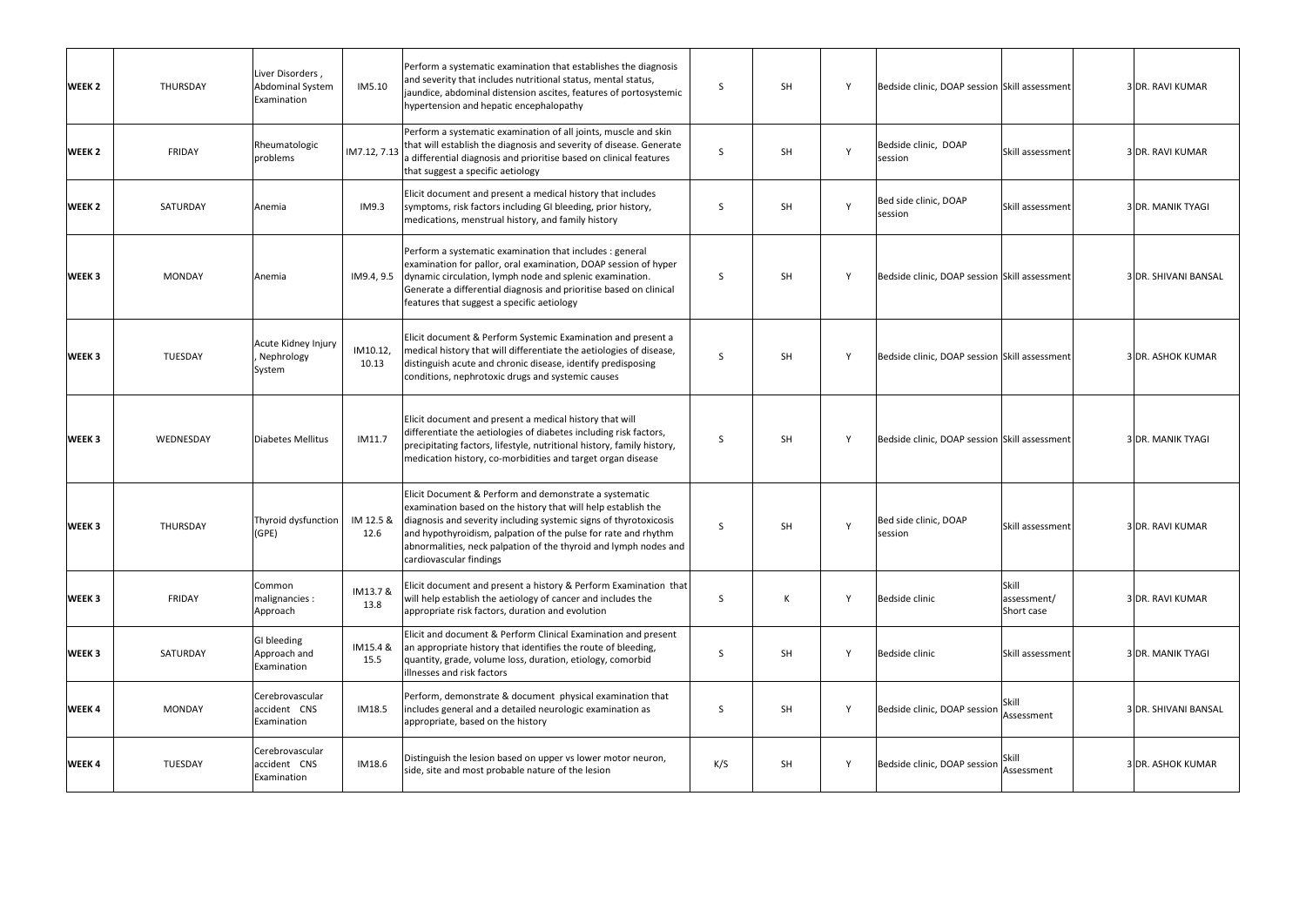| WEEK <sub>2</sub> | THURSDAY      | Liver Disorders,<br>Abdominal System<br>Examination | IM5.10            | Perform a systematic examination that establishes the diagnosis<br>and severity that includes nutritional status, mental status,<br>jaundice, abdominal distension ascites, features of portosystemic<br>hypertension and hepatic encephalopathy                                                                                                              | S            | SH        | Y | Bedside clinic, DOAP session Skill assessment |                                    | 3 DR. RAVI KUMAR         |
|-------------------|---------------|-----------------------------------------------------|-------------------|---------------------------------------------------------------------------------------------------------------------------------------------------------------------------------------------------------------------------------------------------------------------------------------------------------------------------------------------------------------|--------------|-----------|---|-----------------------------------------------|------------------------------------|--------------------------|
| WEEK <sub>2</sub> | FRIDAY        | Rheumatologic<br>problems                           | IM7.12, 7.13      | Perform a systematic examination of all joints, muscle and skin<br>that will establish the diagnosis and severity of disease. Generate<br>a differential diagnosis and prioritise based on clinical features<br>that suggest a specific aetiology                                                                                                             | <sub>S</sub> | SH        |   | Bedside clinic, DOAP<br>session               | Skill assessment                   | 3 DR. RAVI KUMAR         |
| WEEK <sub>2</sub> | SATURDAY      | Anemia                                              | IM9.3             | Elicit document and present a medical history that includes<br>symptoms, risk factors including GI bleeding, prior history,<br>medications, menstrual history, and family history                                                                                                                                                                             | S            | <b>SH</b> | Y | Bed side clinic, DOAP<br>session              | Skill assessment                   | <b>3 DR. MANIK TYAGI</b> |
| WEEK <sub>3</sub> | <b>MONDAY</b> | Anemia                                              | IM9.4, 9.5        | Perform a systematic examination that includes : general<br>examination for pallor, oral examination, DOAP session of hyper<br>dynamic circulation, lymph node and splenic examination.<br>Generate a differential diagnosis and prioritise based on clinical<br>features that suggest a specific aetiology                                                   | S            | <b>SH</b> | Y | Bedside clinic, DOAP session Skill assessment |                                    | 3 DR. SHIVANI BANSAL     |
| WEEK 3            | TUESDAY       | Acute Kidney Injury<br>Nephrology<br>System         | IM10.12,<br>10.13 | Elicit document & Perform Systemic Examination and present a<br>medical history that will differentiate the aetiologies of disease,<br>distinguish acute and chronic disease, identify predisposing<br>conditions, nephrotoxic drugs and systemic causes                                                                                                      | S            | SH        | Y | Bedside clinic, DOAP session Skill assessment |                                    | 3 DR. ASHOK KUMAR        |
| WEEK <sub>3</sub> | WEDNESDAY     | Diabetes Mellitus                                   | IM11.7            | Elicit document and present a medical history that will<br>differentiate the aetiologies of diabetes including risk factors,<br>precipitating factors, lifestyle, nutritional history, family history,<br>medication history, co-morbidities and target organ disease                                                                                         | <sub>S</sub> | <b>SH</b> | Y | Bedside clinic, DOAP session Skill assessment |                                    | <b>3 DR. MANIK TYAGI</b> |
| WEEK <sub>3</sub> | THURSDAY      | Thyroid dysfunction<br>(GPE)                        | IM 12.5 &<br>12.6 | Elicit Document & Perform and demonstrate a systematic<br>examination based on the history that will help establish the<br>diagnosis and severity including systemic signs of thyrotoxicosis<br>and hypothyroidism, palpation of the pulse for rate and rhythm<br>abnormalities, neck palpation of the thyroid and lymph nodes and<br>cardiovascular findings | <sub>S</sub> | <b>SH</b> | Y | Bed side clinic, DOAP<br>session              | Skill assessment                   | 3 DR. RAVI KUMAR         |
| WEEK <sub>3</sub> | FRIDAY        | Common<br>malignancies :<br>Approach                | IM13.7 &<br>13.8  | Elicit document and present a history & Perform Examination that<br>will help establish the aetiology of cancer and includes the<br>appropriate risk factors, duration and evolution                                                                                                                                                                          | S            | K         | Y | Bedside clinic                                | Skill<br>assessment/<br>Short case | 3 DR. RAVI KUMAR         |
| WEEK <sub>3</sub> | SATURDAY      | GI bleeding<br>Approach and<br>Examination          | IM15.4 &<br>15.5  | Elicit and document & Perform Clinical Examination and present<br>an appropriate history that identifies the route of bleeding,<br>quantity, grade, volume loss, duration, etiology, comorbid<br>illnesses and risk factors                                                                                                                                   | S            | <b>SH</b> | Y | Bedside clinic                                | Skill assessment                   | 3 DR. MANIK TYAGI        |
| WEEK 4            | <b>MONDAY</b> | Cerebrovascular<br>accident CNS<br>Examination      | IM18.5            | Perform, demonstrate & document physical examination that<br>includes general and a detailed neurologic examination as<br>appropriate, based on the history                                                                                                                                                                                                   | S            | <b>SH</b> | Y | Bedside clinic, DOAP session                  | Skill<br>Assessment                | 3 DR. SHIVANI BANSAL     |
| WEEK 4            | TUESDAY       | Cerebrovascular<br>accident CNS<br>Examination      | IM18.6            | Distinguish the lesion based on upper vs lower motor neuron,<br>side, site and most probable nature of the lesion                                                                                                                                                                                                                                             | K/S          | <b>SH</b> | Y | Bedside clinic, DOAP session                  | Assessment                         | 3 DR. ASHOK KUMAR        |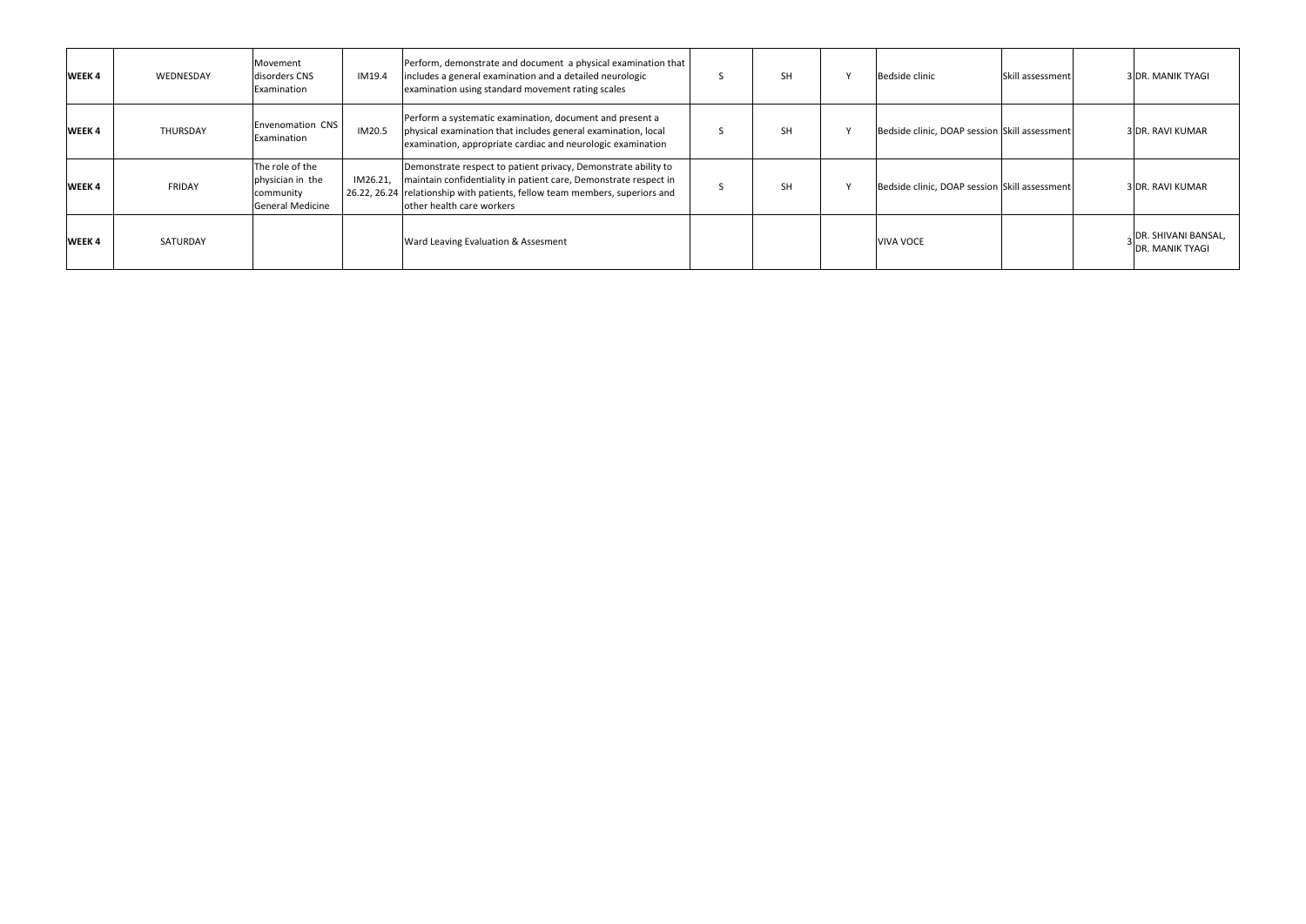| WEEK 4 | WEDNESDAY     | Movement<br>disorders CNS<br>Examination                                    | IM19.4   | Perform, demonstrate and document a physical examination that<br>includes a general examination and a detailed neurologic<br>examination using standard movement rating scales                                                                 | <b>SH</b> | Bedside clinic                                | <b>Skill assessment</b> | 3 DR. MANIK TYAGI                                    |
|--------|---------------|-----------------------------------------------------------------------------|----------|------------------------------------------------------------------------------------------------------------------------------------------------------------------------------------------------------------------------------------------------|-----------|-----------------------------------------------|-------------------------|------------------------------------------------------|
| WEEK 4 | THURSDAY      | Envenomation CNS<br>Examination                                             | IM20.5   | Perform a systematic examination, document and present a<br>physical examination that includes general examination, local<br>examination, appropriate cardiac and neurologic examination                                                       | <b>SH</b> | Bedside clinic, DOAP session Skill assessment |                         | 3 DR. RAVI KUMAR                                     |
| WEEK 4 | <b>FRIDAY</b> | The role of the<br>physician in the<br>community<br><b>General Medicine</b> | IM26.21, | Demonstrate respect to patient privacy, Demonstrate ability to<br>maintain confidentiality in patient care, Demonstrate respect in<br>26.22, 26.24 relationship with patients, fellow team members, superiors and<br>other health care workers | <b>SH</b> | Bedside clinic, DOAP session Skill assessment |                         | 3 DR. RAVI KUMAR                                     |
| WEEK 4 | SATURDAY      |                                                                             |          | Ward Leaving Evaluation & Assesment                                                                                                                                                                                                            |           | <b>VIVA VOCE</b>                              |                         | <b>DR. SHIVANI BANSAL,</b><br><b>DR. MANIK TYAGI</b> |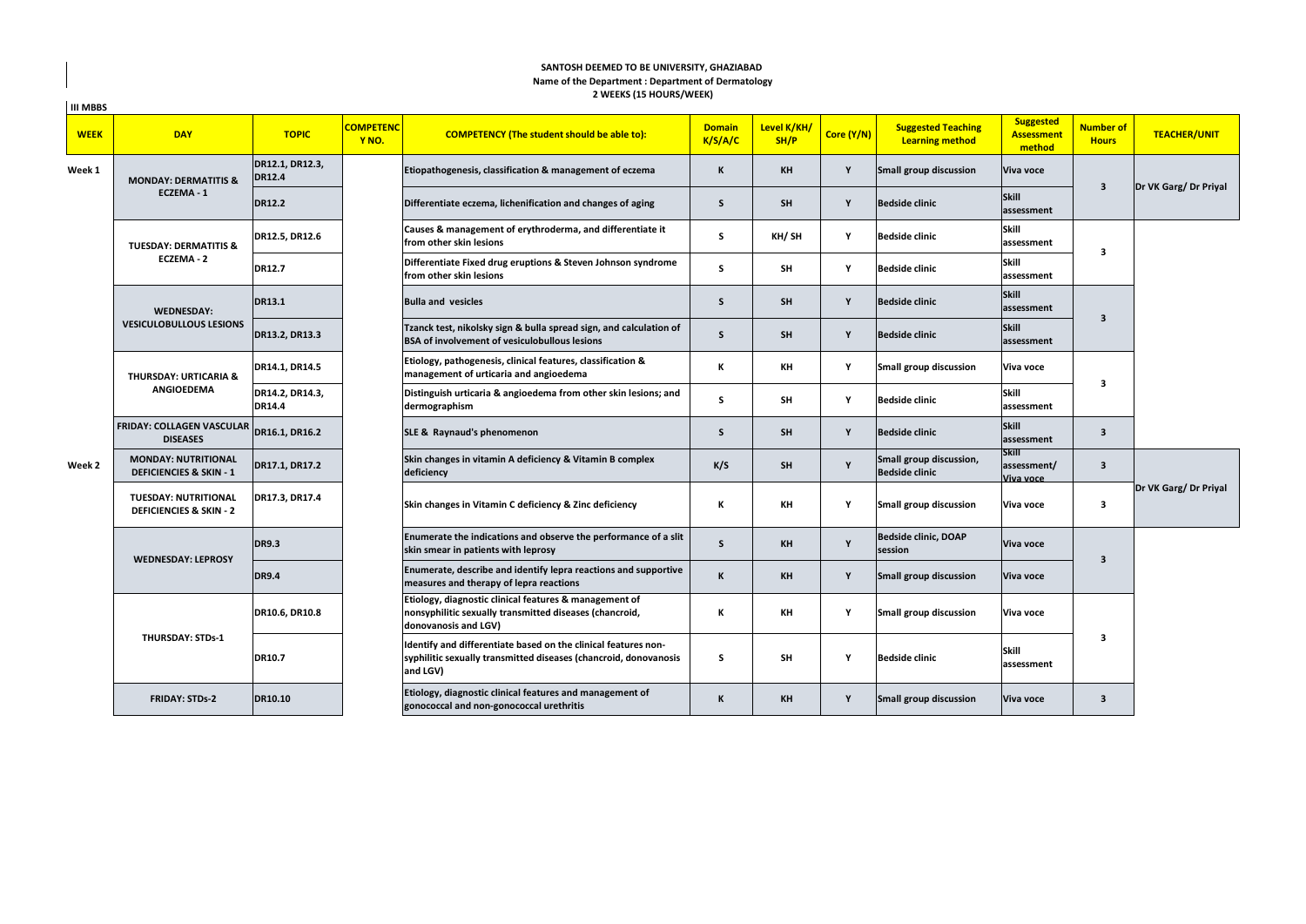# **2 WEEKS (15 HOURS/WEEK) SANTOSH DEEMED TO BE UNIVERSITY, GHAZIABAD Name of the Department : Department of Dermatology**

| <b>III MBBS</b> |                                                                    |                                  |                           |                                                                                                                                                |                          |                     |             |                                                     |                                                 |                                  |                       |
|-----------------|--------------------------------------------------------------------|----------------------------------|---------------------------|------------------------------------------------------------------------------------------------------------------------------------------------|--------------------------|---------------------|-------------|-----------------------------------------------------|-------------------------------------------------|----------------------------------|-----------------------|
| <b>WEEK</b>     | <b>DAY</b>                                                         | <b>TOPIC</b>                     | <b>COMPETENC</b><br>Y NO. | <b>COMPETENCY (The student should be able to):</b>                                                                                             | <b>Domain</b><br>K/S/A/C | Level K/KH/<br>SH/P | Core (Y/N)  | <b>Suggested Teaching</b><br><b>Learning method</b> | <b>Suggested</b><br><b>Assessment</b><br>method | <b>Number of</b><br><b>Hours</b> | <b>TEACHER/UNIT</b>   |
| Week 1          | <b>MONDAY: DERMATITIS &amp;</b>                                    | DR12.1, DR12.3,<br><b>DR12.4</b> |                           | Etiopathogenesis, classification & management of eczema                                                                                        | K                        | KH                  | Y           | Small group discussion                              | Viva voce                                       |                                  |                       |
|                 | ECZEMA-1                                                           | <b>DR12.2</b>                    |                           | Differentiate eczema, lichenification and changes of aging                                                                                     | S                        | SH                  | Y           | <b>Bedside clinic</b>                               | Skill<br>assessment                             | 3                                | Dr VK Garg/ Dr Priyal |
|                 | <b>TUESDAY: DERMATITIS &amp;</b>                                   | DR12.5, DR12.6                   |                           | Causes & management of erythroderma, and differentiate it<br>from other skin lesions                                                           | s                        | KH/SH               | Y           | <b>Bedside clinic</b>                               | <b>Skill</b><br>assessment                      | 3                                |                       |
|                 | ECZEMA-2                                                           | <b>DR12.7</b>                    |                           | Differentiate Fixed drug eruptions & Steven Johnson syndrome<br>from other skin lesions                                                        | s                        | <b>SH</b>           | Y           | <b>Bedside clinic</b>                               | <b>Skill</b><br>assessment                      |                                  |                       |
|                 | <b>WEDNESDAY:</b>                                                  | <b>DR13.1</b>                    |                           | <b>Bulla and vesicles</b>                                                                                                                      | S                        | <b>SH</b>           | Y           | <b>Bedside clinic</b>                               | Skill<br>assessment                             | $\mathbf{3}$                     |                       |
|                 | <b>VESICULOBULLOUS LESIONS</b>                                     | DR13.2, DR13.3                   |                           | Tzanck test, nikolsky sign & bulla spread sign, and calculation of<br><b>BSA of involvement of vesiculobullous lesions</b>                     | S                        | SH                  | Y           | <b>Bedside clinic</b>                               | Skill<br>assessment                             |                                  |                       |
|                 | <b>THURSDAY: URTICARIA &amp;</b>                                   | DR14.1, DR14.5                   |                           | Etiology, pathogenesis, clinical features, classification &<br>management of urticaria and angioedema                                          | К                        | KH                  | Y           | Small group discussion                              | Viva voce                                       | $\overline{\mathbf{3}}$          |                       |
|                 | <b>ANGIOEDEMA</b>                                                  | DR14.2, DR14.3,<br><b>DR14.4</b> |                           | Distinguish urticaria & angioedema from other skin lesions; and<br>dermographism                                                               | s                        | SH                  | Y           | <b>Bedside clinic</b>                               | Skill<br>assessment                             |                                  |                       |
|                 | <b>FRIDAY: COLLAGEN VASCULAR DR16.1, DR16.2</b><br><b>DISEASES</b> |                                  |                           | SLE & Raynaud's phenomenon                                                                                                                     | S                        | <b>SH</b>           | Y           | <b>Bedside clinic</b>                               | Skill<br>assessment                             | $\overline{\mathbf{3}}$          |                       |
| Week 2          | <b>MONDAY: NUTRITIONAL</b><br><b>DEFICIENCIES &amp; SKIN - 1</b>   | DR17.1, DR17.2                   |                           | Skin changes in vitamin A deficiency & Vitamin B complex<br>deficiency                                                                         | K/S                      | <b>SH</b>           | <b>V</b>    | Small group discussion,<br><b>Bedside clinic</b>    | <b>Skill</b><br>assessment/<br>Viva voce        | $\overline{\mathbf{3}}$          |                       |
|                 | <b>TUESDAY: NUTRITIONAL</b><br><b>DEFICIENCIES &amp; SKIN - 2</b>  | DR17.3, DR17.4                   |                           | Skin changes in Vitamin C deficiency & Zinc deficiency                                                                                         | К                        | KH                  | $\mathbf v$ | Small group discussion                              | Viva voce                                       | 3                                | Dr VK Garg/ Dr Priyal |
|                 |                                                                    | <b>DR9.3</b>                     |                           | Enumerate the indications and observe the performance of a slit<br>skin smear in patients with leprosy                                         | S                        | <b>KH</b>           | Y           | Bedside clinic, DOAP<br>session                     | Viva voce                                       | $\overline{\mathbf{3}}$          |                       |
|                 | <b>WEDNESDAY: LEPROSY</b>                                          | <b>DR9.4</b>                     |                           | Enumerate, describe and identify lepra reactions and supportive<br>measures and therapy of lepra reactions                                     | K                        | <b>KH</b>           | Y           | Small group discussion                              | Viva voce                                       |                                  |                       |
|                 | <b>THURSDAY: STDs-1</b>                                            | DR10.6, DR10.8                   |                           | Etiology, diagnostic clinical features & management of<br>nonsyphilitic sexually transmitted diseases (chancroid,<br>donovanosis and LGV)      | К                        | KH                  | Y           | Small group discussion                              | Viva voce                                       |                                  |                       |
|                 |                                                                    | DR10.7                           |                           | Identify and differentiate based on the clinical features non-<br>syphilitic sexually transmitted diseases (chancroid, donovanosis<br>and LGV) | s                        | <b>SH</b>           | Y           | <b>Bedside clinic</b>                               | <b>Skill</b><br>assessment                      | $\overline{\mathbf{3}}$          |                       |
|                 | <b>FRIDAY: STDs-2</b>                                              | <b>DR10.10</b>                   |                           | Etiology, diagnostic clinical features and management of<br>gonococcal and non-gonococcal urethritis                                           | K                        | KH                  | Y           | Small group discussion                              | Viva voce                                       | $\overline{\mathbf{3}}$          |                       |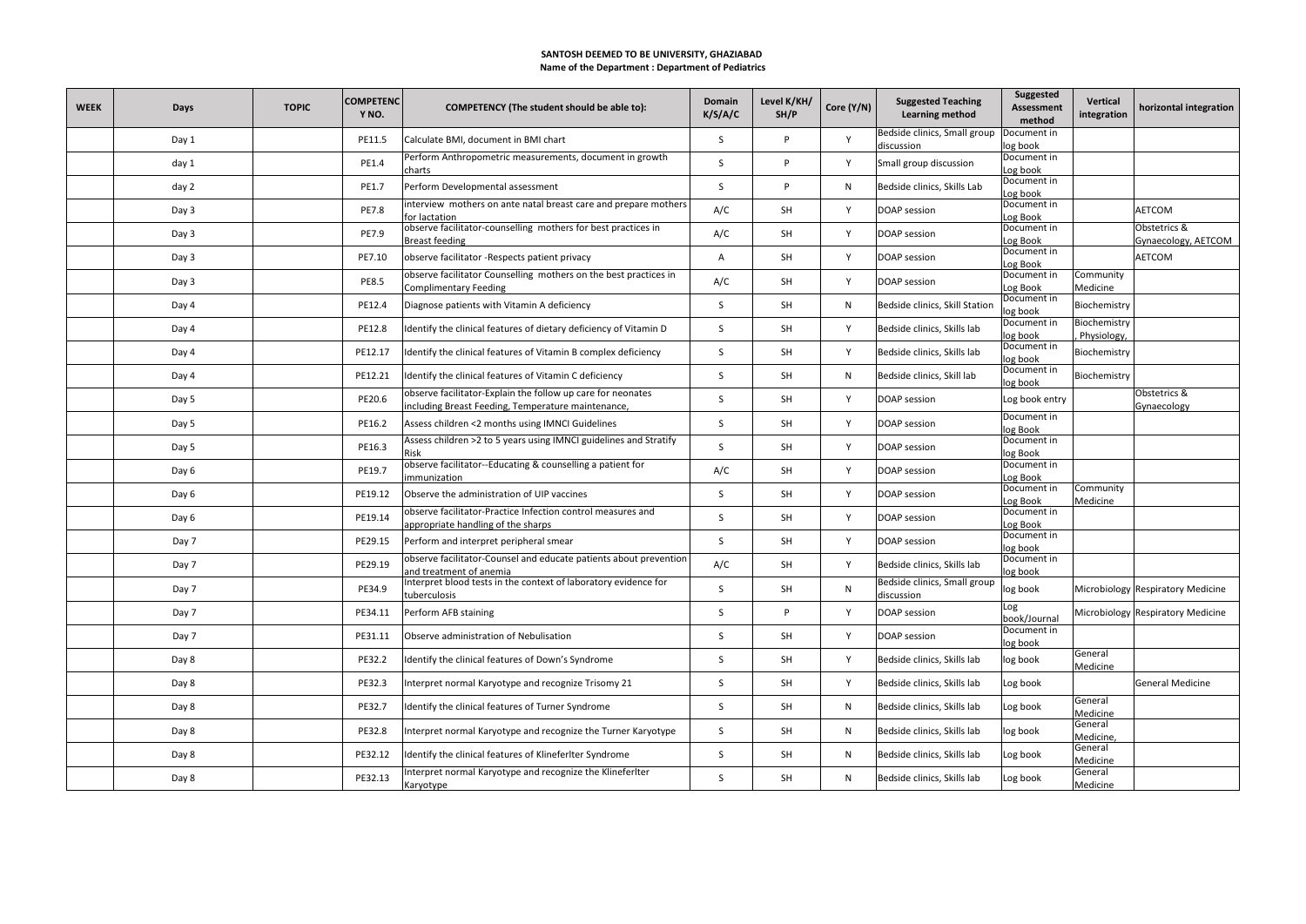### **SANTOSH DEEMED TO BE UNIVERSITY, GHAZIABAD Name of the Department : Department of Pediatrics**

| <b>WEEK</b> | Days  | <b>TOPIC</b> | <b>COMPETENC</b><br>Y <sub>NO</sub> . | <b>COMPETENCY (The student should be able to):</b>                                                                | Domain<br>K/S/A/C | Level K/KH/<br>SH/P | Core (Y/N) | <b>Suggested Teaching</b><br><b>Learning method</b> | <b>Suggested</b><br><b>Assessment</b><br>method | Vertical<br>integration     | horizontal integration              |
|-------------|-------|--------------|---------------------------------------|-------------------------------------------------------------------------------------------------------------------|-------------------|---------------------|------------|-----------------------------------------------------|-------------------------------------------------|-----------------------------|-------------------------------------|
|             | Day 1 |              | PE11.5                                | Calculate BMI, document in BMI chart                                                                              | S                 | P                   | Y          | Bedside clinics, Small group<br>discussion          | Document in<br>log book                         |                             |                                     |
|             | day 1 |              | PE1.4                                 | Perform Anthropometric measurements, document in growth<br>charts                                                 | <sup>S</sup>      | P                   | Y          | Small group discussion                              | Document in<br>Log book                         |                             |                                     |
|             | day 2 |              | PE1.7                                 | Perform Developmental assessment                                                                                  | S                 | P                   | N          | Bedside clinics, Skills Lab                         | Document in<br>Log book                         |                             |                                     |
|             | Day 3 |              | PE7.8                                 | interview mothers on ante natal breast care and prepare mothers<br>for lactation                                  | A/C               | SH                  | Y          | DOAP session                                        | Document in<br>Log Book                         |                             | AETCOM                              |
|             | Day 3 |              | PE7.9                                 | observe facilitator-counselling mothers for best practices in<br><b>Breast feeding</b>                            | A/C               | SH                  | Y          | DOAP session                                        | Document in<br>Log Book                         |                             | Obstetrics &<br>Gynaecology, AETCOM |
|             | Day 3 |              | PE7.10                                | observe facilitator -Respects patient privacy                                                                     | Α                 | SH                  | Y          | DOAP session                                        | Document in<br>Log Book                         |                             | AETCOM                              |
|             | Day 3 |              | <b>PE8.5</b>                          | observe facilitator Counselling mothers on the best practices in<br><b>Complimentary Feeding</b>                  | A/C               | SH                  | Y          | DOAP session                                        | Document in<br>Log Book                         | Community<br>Medicine       |                                     |
|             | Day 4 |              | PE12.4                                | Diagnose patients with Vitamin A deficiency                                                                       | S                 | SH                  | N          | Bedside clinics, Skill Station                      | Document in<br>log book                         | Biochemistry                |                                     |
|             | Day 4 |              | PE12.8                                | Identify the clinical features of dietary deficiency of Vitamin D                                                 | S                 | SH                  | Y          | Bedside clinics, Skills lab                         | Document in<br>log book                         | Biochemistry<br>Physiology, |                                     |
|             | Day 4 |              | PE12.17                               | Identify the clinical features of Vitamin B complex deficiency                                                    | S                 | SH                  | Y          | Bedside clinics, Skills lab                         | Document in<br>log book                         | Biochemistry                |                                     |
|             | Day 4 |              | PE12.21                               | Identify the clinical features of Vitamin C deficiency                                                            | S                 | <b>SH</b>           | N          | Bedside clinics, Skill lab                          | Document in<br>log book                         | Biochemistry                |                                     |
|             | Day 5 |              | PE20.6                                | observe facilitator-Explain the follow up care for neonates<br>including Breast Feeding, Temperature maintenance, | S                 | SH                  | Y          | DOAP session                                        | Log book entry                                  |                             | Obstetrics &<br>Gynaecology         |
|             | Day 5 |              | PE16.2                                | Assess children <2 months using IMNCI Guidelines                                                                  | S                 | SH                  | Y          | DOAP session                                        | Document in<br>log Book                         |                             |                                     |
|             | Day 5 |              | PE16.3                                | Assess children >2 to 5 years using IMNCI guidelines and Stratify                                                 | -S                | SH                  | Y          | DOAP session                                        | Document in<br>log Book                         |                             |                                     |
|             | Day 6 |              | PE19.7                                | observe facilitator--Educating & counselling a patient for<br>immunization                                        | A/C               | SH                  | Y          | DOAP session                                        | Document in<br>Log Book                         |                             |                                     |
|             | Day 6 |              | PE19.12                               | Observe the administration of UIP vaccines                                                                        | S                 | SH                  | Y          | DOAP session                                        | Document in<br>Log Book                         | Community<br>Medicine       |                                     |
|             | Day 6 |              | PE19.14                               | observe facilitator-Practice Infection control measures and<br>appropriate handling of the sharps                 | S                 | SH                  | Y          | DOAP session                                        | Document in<br>Log Book                         |                             |                                     |
|             | Day 7 |              | PE29.15                               | Perform and interpret peripheral smear                                                                            | <sup>S</sup>      | SH                  | Y          | DOAP session                                        | Document in<br>log book                         |                             |                                     |
|             | Day 7 |              | PE29.19                               | observe facilitator-Counsel and educate patients about prevention<br>and treatment of anemia                      | A/C               | SH                  | Y          | Bedside clinics, Skills lab                         | Document in<br>log book                         |                             |                                     |
|             | Day 7 |              | PE34.9                                | Interpret blood tests in the context of laboratory evidence for<br>tuberculosis                                   | S                 | SH                  | N          | Bedside clinics, Small group<br>discussion          | log book                                        |                             | Microbiology Respiratory Medicine   |
|             | Day 7 |              | PE34.11                               | Perform AFB staining                                                                                              | S                 | P                   | Y          | DOAP session                                        | Log<br>book/Journal                             |                             | Microbiology Respiratory Medicine   |
|             | Day 7 |              | PE31.11                               | Observe administration of Nebulisation                                                                            | S                 | SH                  | Y          | DOAP session                                        | Document in<br>log book                         |                             |                                     |
|             | Day 8 |              | PE32.2                                | Identify the clinical features of Down's Syndrome                                                                 | S                 | SH                  | Y          | Bedside clinics, Skills lab                         | log book                                        | General<br>Medicine         |                                     |
|             | Day 8 |              | PE32.3                                | Interpret normal Karyotype and recognize Trisomy 21                                                               | S                 | SH                  | Y          | Bedside clinics, Skills lab                         | Log book                                        |                             | <b>General Medicine</b>             |
|             | Day 8 |              | PE32.7                                | Identify the clinical features of Turner Syndrome                                                                 | S                 | SH                  | N          | Bedside clinics, Skills lab                         | Log book                                        | General<br>Medicine         |                                     |
|             | Day 8 |              | PE32.8                                | Interpret normal Karyotype and recognize the Turner Karyotype                                                     | S                 | SH                  | N          | Bedside clinics, Skills lab                         | log book                                        | General<br>Medicine         |                                     |
|             | Day 8 |              | PE32.12                               | Identify the clinical features of KlineferIter Syndrome                                                           | S                 | SH                  | N          | Bedside clinics, Skills lab                         | Log book                                        | General<br>Medicine         |                                     |
|             | Day 8 |              | PE32.13                               | Interpret normal Karyotype and recognize the Klineferlter<br>Karyotype                                            | S                 | <b>SH</b>           | N          | Bedside clinics, Skills lab                         | Log book                                        | General<br>Medicine         |                                     |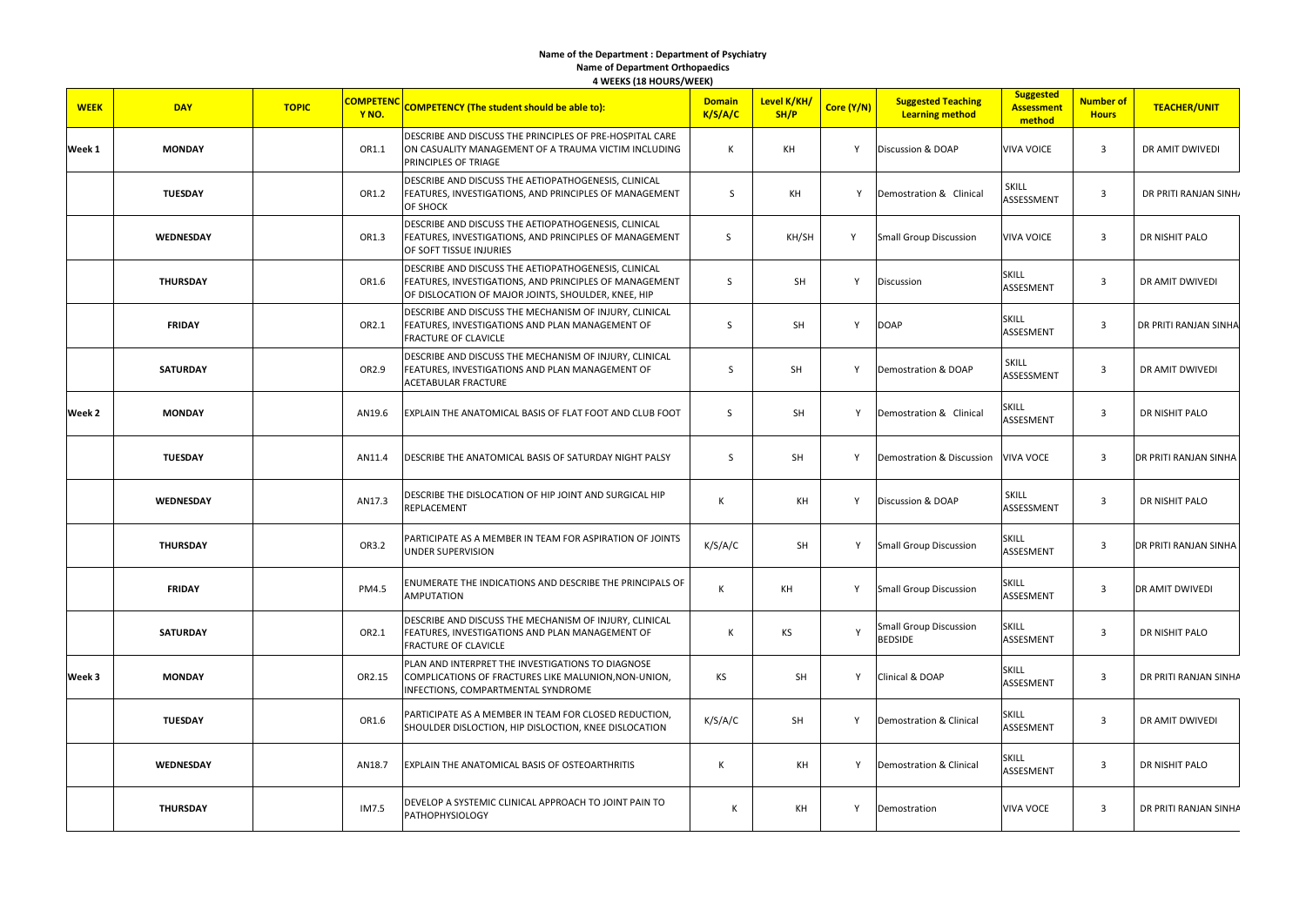#### **Name of the Department : Department of Psychiatry Name of Department Orthopaedics 4 WEEKS (18 HOURS/WEEK)**

| <b>WEEK</b> | <b>DAY</b>      | <b>TOPIC</b> | <b>COMPETENC</b><br>Y NO. | <b>COMPETENCY (The student should be able to):</b>                                                                                                                    | <b>Domain</b><br>K/S/A/C | Level K/KH/<br>SH/P | Core (Y/N) | <b>Suggested Teaching</b><br><b>Learning method</b> | <b>Suggested</b><br><b>Assessment</b><br>method | Number of<br><b>Hours</b> | <b>TEACHER/UNIT</b>          |
|-------------|-----------------|--------------|---------------------------|-----------------------------------------------------------------------------------------------------------------------------------------------------------------------|--------------------------|---------------------|------------|-----------------------------------------------------|-------------------------------------------------|---------------------------|------------------------------|
| Week 1      | <b>MONDAY</b>   |              | OR1.1                     | DESCRIBE AND DISCUSS THE PRINCIPLES OF PRE-HOSPITAL CARE<br>ON CASUALITY MANAGEMENT OF A TRAUMA VICTIM INCLUDING<br>PRINCIPLES OF TRIAGE                              | К                        | KH                  | Y          | Discussion & DOAP                                   | <b>VIVA VOICE</b>                               | $\overline{3}$            | DR AMIT DWIVEDI              |
|             | <b>TUESDAY</b>  |              | OR1.2                     | DESCRIBE AND DISCUSS THE AETIOPATHOGENESIS, CLINICAL<br>FEATURES, INVESTIGATIONS, AND PRINCIPLES OF MANAGEMENT<br>OF SHOCK                                            | S                        | KH                  | Y          | Demostration & Clinical                             | SKILL<br>ASSESSMENT                             | $\mathbf{3}$              | DR PRITI RANJAN SINH/        |
|             | WEDNESDAY       |              | OR1.3                     | DESCRIBE AND DISCUSS THE AETIOPATHOGENESIS, CLINICAL<br>FEATURES, INVESTIGATIONS, AND PRINCIPLES OF MANAGEMENT<br>OF SOFT TISSUE INJURIES                             | S                        | KH/SH               | Y          | <b>Small Group Discussion</b>                       | <b>VIVA VOICE</b>                               | $\overline{\mathbf{3}}$   | DR NISHIT PALO               |
|             | <b>THURSDAY</b> |              | OR1.6                     | DESCRIBE AND DISCUSS THE AETIOPATHOGENESIS, CLINICAL<br>FEATURES, INVESTIGATIONS, AND PRINCIPLES OF MANAGEMENT<br>OF DISLOCATION OF MAJOR JOINTS, SHOULDER, KNEE, HIP | S                        | SH                  | Υ          | Discussion                                          | <b>SKILL</b><br>ASSESMENT                       | $\overline{\mathbf{3}}$   | DR AMIT DWIVEDI              |
|             | <b>FRIDAY</b>   |              | OR2.1                     | DESCRIBE AND DISCUSS THE MECHANISM OF INJURY, CLINICAL<br>FEATURES, INVESTIGATIONS AND PLAN MANAGEMENT OF<br><b>FRACTURE OF CLAVICLE</b>                              | S                        | SH                  | Y          | <b>DOAP</b>                                         | <b>SKILL</b><br>ASSESMENT                       | $\overline{\mathbf{3}}$   | DR PRITI RANJAN SINHA        |
|             | <b>SATURDAY</b> |              | OR2.9                     | DESCRIBE AND DISCUSS THE MECHANISM OF INJURY, CLINICAL<br>FEATURES, INVESTIGATIONS AND PLAN MANAGEMENT OF<br>ACETABULAR FRACTURE                                      | $\mathsf S$              | SH                  | Y          | Demostration & DOAP                                 | <b>SKILL</b><br>ASSESSMENT                      | $\overline{3}$            | DR AMIT DWIVEDI              |
| Week 2      | <b>MONDAY</b>   |              | AN19.6                    | EXPLAIN THE ANATOMICAL BASIS OF FLAT FOOT AND CLUB FOOT                                                                                                               | S                        | SH                  | Y          | Demostration & Clinical                             | SKILL<br>ASSESMENT                              | $\overline{\mathbf{3}}$   | DR NISHIT PALO               |
|             | <b>TUESDAY</b>  |              | AN11.4                    | DESCRIBE THE ANATOMICAL BASIS OF SATURDAY NIGHT PALSY                                                                                                                 | S                        | SH                  | Y          | Demostration & Discussion                           | <b>VIVA VOCE</b>                                | $\overline{3}$            | DR PRITI RANJAN SINHA        |
|             | WEDNESDAY       |              | AN17.3                    | DESCRIBE THE DISLOCATION OF HIP JOINT AND SURGICAL HIP<br>REPLACEMENT                                                                                                 | К                        | KH                  | Y          | Discussion & DOAP                                   | <b>SKILL</b><br>ASSESSMENT                      | $\overline{\mathbf{3}}$   | DR NISHIT PALO               |
|             | <b>THURSDAY</b> |              | OR3.2                     | PARTICIPATE AS A MEMBER IN TEAM FOR ASPIRATION OF JOINTS<br>UNDER SUPERVISION                                                                                         | K/S/A/C                  | SH                  | Y          | <b>Small Group Discussion</b>                       | SKILL<br>ASSESMENT                              | $\overline{\mathbf{3}}$   | <b>DR PRITI RANJAN SINHA</b> |
|             | <b>FRIDAY</b>   |              | PM4.5                     | ENUMERATE THE INDICATIONS AND DESCRIBE THE PRINCIPALS OF<br>AMPUTATION                                                                                                | К                        | КH                  | Y          | <b>Small Group Discussion</b>                       | <b>SKILL</b><br>ASSESMENT                       | $\overline{3}$            | DR AMIT DWIVEDI              |
|             | <b>SATURDAY</b> |              | OR2.1                     | DESCRIBE AND DISCUSS THE MECHANISM OF INJURY, CLINICAL<br>FEATURES, INVESTIGATIONS AND PLAN MANAGEMENT OF<br>FRACTURE OF CLAVICLE                                     | К                        | KS                  | Y          | <b>Small Group Discussion</b><br><b>BEDSIDE</b>     | <b>SKILL</b><br>ASSESMENT                       | $\overline{3}$            | DR NISHIT PALO               |
| Week 3      | <b>MONDAY</b>   |              | OR2.15                    | PLAN AND INTERPRET THE INVESTIGATIONS TO DIAGNOSE<br>COMPLICATIONS OF FRACTURES LIKE MALUNION, NON-UNION,<br>INFECTIONS, COMPARTMENTAL SYNDROME                       | KS                       | SH                  | Y          | Clinical & DOAP                                     | <b>SKILL</b><br><b>ASSESMENT</b>                | $\mathbf{3}$              | DR PRITI RANJAN SINHA        |
|             | <b>TUESDAY</b>  |              | OR1.6                     | PARTICIPATE AS A MEMBER IN TEAM FOR CLOSED REDUCTION,<br>SHOULDER DISLOCTION, HIP DISLOCTION, KNEE DISLOCATION                                                        | K/S/A/C                  | SH                  | Υ          | Demostration & Clinical                             | Skill<br><b>ASSESMENT</b>                       | $\overline{\mathbf{3}}$   | DR AMIT DWIVEDI              |
|             | WEDNESDAY       |              | AN18.7                    | EXPLAIN THE ANATOMICAL BASIS OF OSTEOARTHRITIS                                                                                                                        | К                        | KH                  | Y          | Demostration & Clinical                             | <b>SKILL</b><br>ASSESMENT                       | $\overline{\mathbf{3}}$   | DR NISHIT PALO               |
|             | <b>THURSDAY</b> |              | IM7.5                     | DEVELOP A SYSTEMIC CLINICAL APPROACH TO JOINT PAIN TO<br><b>PATHOPHYSIOLOGY</b>                                                                                       | К                        | KH                  | Y          | Demostration                                        | <b>VIVA VOCE</b>                                | $\overline{\mathbf{3}}$   | DR PRITI RANJAN SINHA        |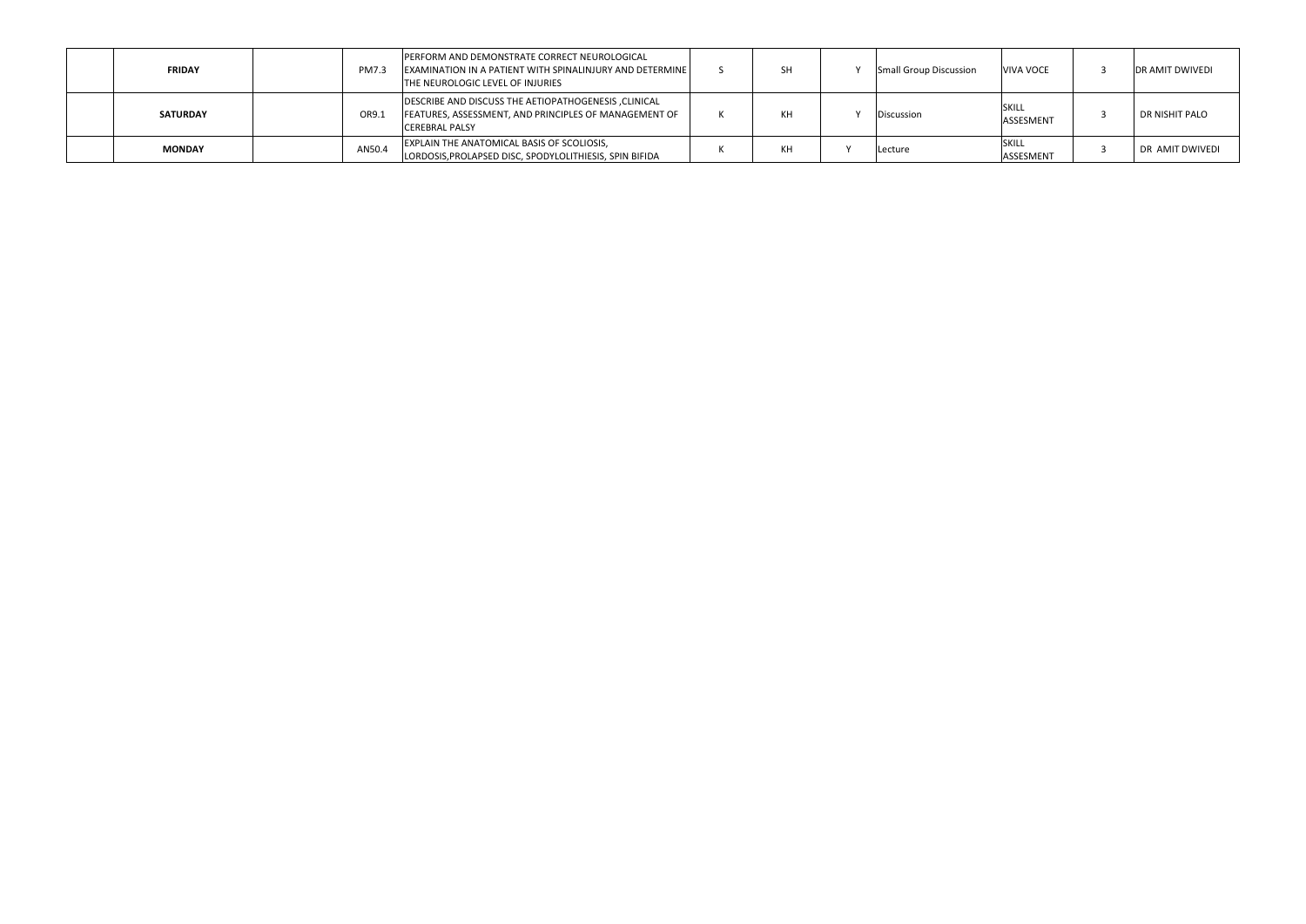| <b>FRIDAY</b>   | <b>PM7.3</b> | <b>PERFORM AND DEMONSTRATE CORRECT NEUROLOGICAL</b><br><b>EXAMINATION IN A PATIENT WITH SPINALINJURY AND DETERMINE</b><br>THE NEUROLOGIC LEVEL OF INJURIES |  | Small Group Discussion | VIVA VOCE                        | <b>DR AMIT DWIVEDI</b> |
|-----------------|--------------|------------------------------------------------------------------------------------------------------------------------------------------------------------|--|------------------------|----------------------------------|------------------------|
| <b>SATURDAY</b> | OR9.1        | DESCRIBE AND DISCUSS THE AETIOPATHOGENESIS, CLINICAL<br>FEATURES, ASSESSMENT, AND PRINCIPLES OF MANAGEMENT OF<br><b>CEREBRAL PALSY</b>                     |  | Discussion             | <b>SKILL</b><br>ASSESMENT        | DR NISHIT PALO         |
| <b>MONDAY</b>   | AN50.4       | EXPLAIN THE ANATOMICAL BASIS OF SCOLIOSIS,<br>LORDOSIS, PROLAPSED DISC, SPODYLOLITHIESIS, SPIN BIFIDA                                                      |  | Lecture                | <b>SKILL</b><br><b>ASSESMENT</b> | DR AMIT DWIVEDI        |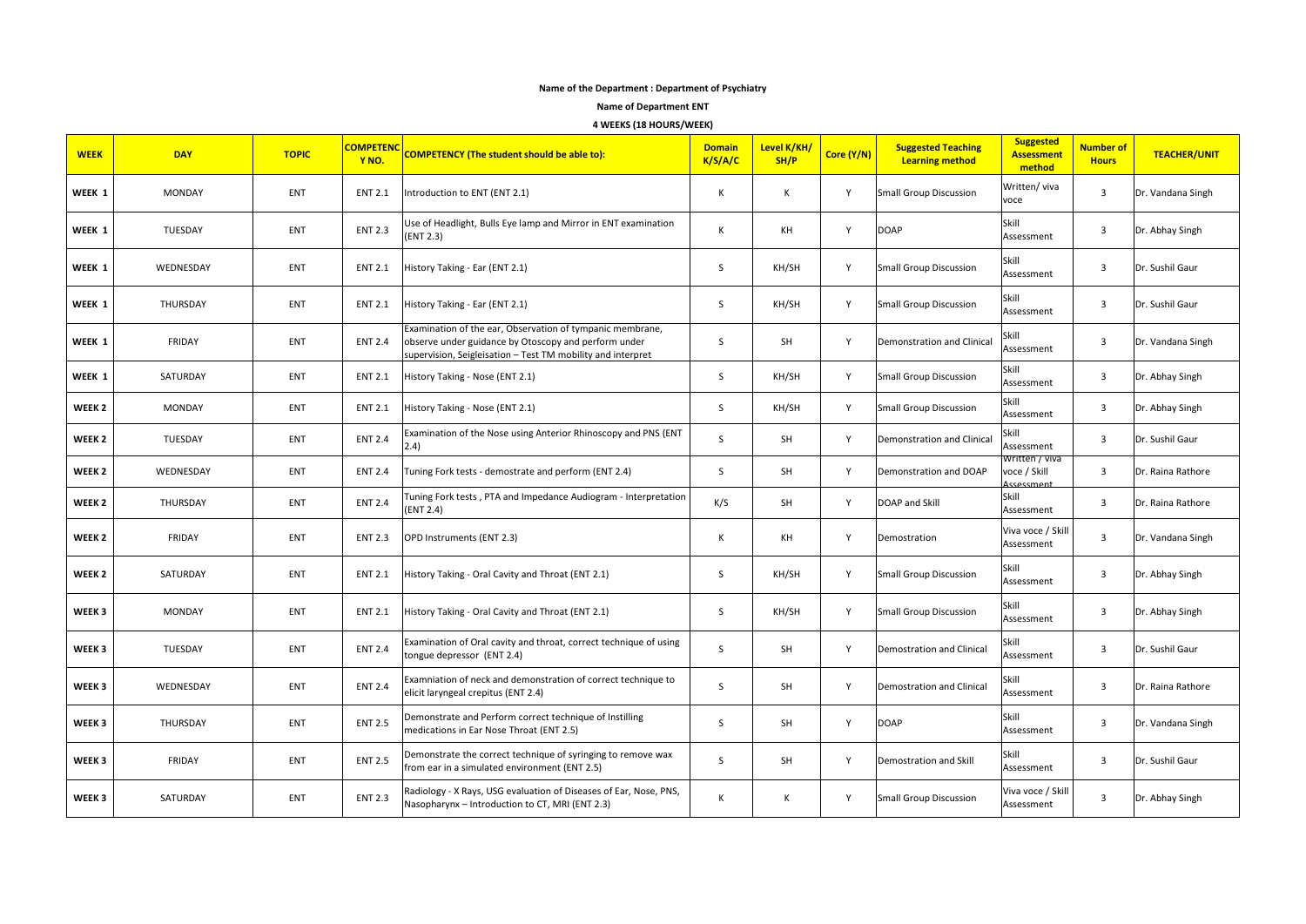# **Name of the Department : Department of Psychiatry**

**Name of Department ENT**

**4 WEEKS (18 HOURS/WEEK)**

| <b>WEEK</b>       | <b>DAY</b>    | <b>TOPIC</b> | <b>COMPETENC</b><br>Y <sub>NO</sub> | <b>COMPETENCY (The student should be able to):</b>                                                                                                                               | <b>Domain</b><br>K/S/A/C | Level K/KH/<br>SH/P | Core (Y/N)   | <b>Suggested Teaching</b><br><b>Learning method</b> | <b>Suggested</b><br><b>Assessment</b><br>method | Number of<br><b>Hours</b> | <b>TEACHER/UNIT</b> |
|-------------------|---------------|--------------|-------------------------------------|----------------------------------------------------------------------------------------------------------------------------------------------------------------------------------|--------------------------|---------------------|--------------|-----------------------------------------------------|-------------------------------------------------|---------------------------|---------------------|
| WEEK 1            | <b>MONDAY</b> | ENT          | <b>ENT 2.1</b>                      | Introduction to ENT (ENT 2.1)                                                                                                                                                    | K                        | К                   | $\mathsf{v}$ | <b>Small Group Discussion</b>                       | Written/viva<br>voce                            | 3                         | Dr. Vandana Singh   |
| WEEK 1            | TUESDAY       | ENT          | <b>ENT 2.3</b>                      | Use of Headlight, Bulls Eye lamp and Mirror in ENT examination<br>(ENT 2.3)                                                                                                      | К                        | ΚH                  | Y            | <b>DOAP</b>                                         | Skill<br>Assessment                             | 3                         | Dr. Abhay Singh     |
| WEEK 1            | WEDNESDAY     | ENT          | <b>ENT 2.1</b>                      | History Taking - Ear (ENT 2.1)                                                                                                                                                   | <sub>S</sub>             | KH/SH               | Y            | Small Group Discussion                              | Skill<br>Assessment                             | 3                         | Dr. Sushil Gaur     |
| WEEK 1            | THURSDAY      | ENT          | <b>ENT 2.1</b>                      | History Taking - Ear (ENT 2.1)                                                                                                                                                   | S                        | KH/SH               | Y            | Small Group Discussion                              | Skill<br>Assessment                             | 3                         | Dr. Sushil Gaur     |
| WEEK 1            | FRIDAY        | <b>ENT</b>   | <b>ENT 2.4</b>                      | Examination of the ear, Observation of tympanic membrane,<br>observe under guidance by Otoscopy and perform under<br>supervision, Seigleisation - Test TM mobility and interpret | S                        | SH                  | Y            | Demonstration and Clinical                          | Skill<br>Assessment                             | 3                         | Dr. Vandana Singh   |
| WEEK 1            | SATURDAY      | <b>ENT</b>   | <b>ENT 2.1</b>                      | History Taking - Nose (ENT 2.1)                                                                                                                                                  | S.                       | KH/SH               | Y            | <b>Small Group Discussion</b>                       | Skill<br>Assessment                             | 3                         | Dr. Abhay Singh     |
| WEEK <sub>2</sub> | <b>MONDAY</b> | <b>ENT</b>   | <b>ENT 2.1</b>                      | History Taking - Nose (ENT 2.1)                                                                                                                                                  | S                        | KH/SH               | Y            | <b>Small Group Discussion</b>                       | Skill<br>Assessment                             | 3                         | Dr. Abhay Singh     |
| WEEK <sub>2</sub> | TUESDAY       | ENT          | <b>ENT 2.4</b>                      | Examination of the Nose using Anterior Rhinoscopy and PNS (ENT<br>2.4)                                                                                                           | S                        | SH                  | Y            | Demonstration and Clinical                          | Skill<br>Assessment                             | 3                         | Dr. Sushil Gaur     |
| WEEK <sub>2</sub> | WEDNESDAY     | ENT          | <b>ENT 2.4</b>                      | Tuning Fork tests - demostrate and perform (ENT 2.4)                                                                                                                             | S                        | SH                  | Y            | Demonstration and DOAP                              | Written / viva<br>voce / Skill<br>Assessment    | 3                         | Dr. Raina Rathore   |
| WEEK <sub>2</sub> | THURSDAY      | <b>ENT</b>   | <b>ENT 2.4</b>                      | Tuning Fork tests, PTA and Impedance Audiogram - Interpretation<br>(ENT 2.4)                                                                                                     | K/S                      | <b>SH</b>           | $\mathsf{v}$ | DOAP and Skill                                      | Skill<br>Assessment                             | 3                         | Dr. Raina Rathore   |
| WEEK <sub>2</sub> | FRIDAY        | ENT          | <b>ENT 2.3</b>                      | OPD Instruments (ENT 2.3)                                                                                                                                                        | К                        | ΚH                  | Y            | Demostration                                        | Viva voce / Skill<br>Assessment                 | 3                         | Dr. Vandana Singh   |
| WEEK <sub>2</sub> | SATURDAY      | ENT          | <b>ENT 2.1</b>                      | History Taking - Oral Cavity and Throat (ENT 2.1)                                                                                                                                | S                        | KH/SH               | Y            | <b>Small Group Discussion</b>                       | Skill<br>Assessment                             | 3                         | Dr. Abhay Singh     |
| WEEK 3            | <b>MONDAY</b> | ENT          | <b>ENT 2.1</b>                      | History Taking - Oral Cavity and Throat (ENT 2.1)                                                                                                                                | <sub>S</sub>             | KH/SH               | Y            | <b>Small Group Discussion</b>                       | Skill<br>Assessment                             | 3                         | Dr. Abhay Singh     |
| WEEK 3            | TUESDAY       | ENT          | <b>ENT 2.4</b>                      | Examination of Oral cavity and throat, correct technique of using<br>tongue depressor (ENT 2.4)                                                                                  | S                        | SH                  | Y            | <b>Demostration and Clinical</b>                    | Skill<br>Assessment                             | 3                         | Dr. Sushil Gaur     |
| WEEK 3            | WEDNESDAY     | ENT          | <b>ENT 2.4</b>                      | Examniation of neck and demonstration of correct technique to<br>elicit laryngeal crepitus (ENT 2.4)                                                                             | <sub>S</sub>             | <b>SH</b>           | Y            | <b>Demostration and Clinical</b>                    | Skill<br>Assessment                             | 3                         | Dr. Raina Rathore   |
| WEEK 3            | THURSDAY      | ENT          | <b>ENT 2.5</b>                      | Demonstrate and Perform correct technique of Instilling<br>medications in Ear Nose Throat (ENT 2.5)                                                                              | <sub>S</sub>             | SH                  | Y            | <b>DOAP</b>                                         | Skill<br>Assessment                             | 3                         | Dr. Vandana Singh   |
| WEEK 3            | FRIDAY        | <b>ENT</b>   | <b>ENT 2.5</b>                      | Demonstrate the correct technique of syringing to remove wax<br>from ear in a simulated environment (ENT 2.5)                                                                    | S                        | SH                  | Y            | Demostration and Skill                              | Skill<br>Assessment                             | 3                         | Dr. Sushil Gaur     |
| WEEK 3            | SATURDAY      | <b>ENT</b>   | <b>ENT 2.3</b>                      | Radiology - X Rays, USG evaluation of Diseases of Ear, Nose, PNS,<br>Nasopharynx - Introduction to CT, MRI (ENT 2.3)                                                             | K                        | Κ                   | Y            | Small Group Discussion                              | Viva voce / Skill<br>Assessment                 | 3                         | Dr. Abhay Singh     |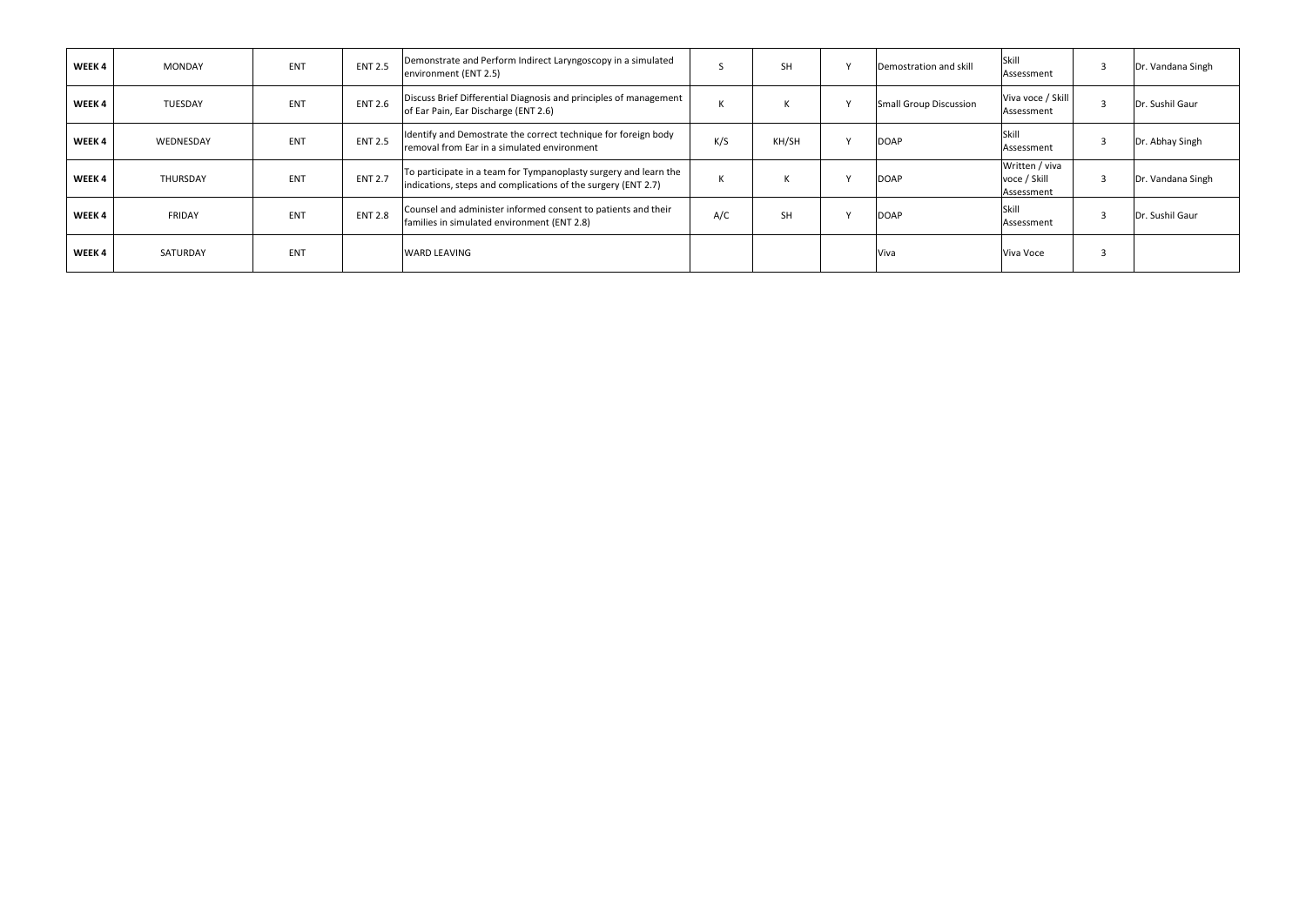| WEEK 4 | MONDAY         | ENT | <b>ENT 2.5</b> | Demonstrate and Perform Indirect Laryngoscopy in a simulated<br>environment (ENT 2.5)                                             |     | <b>SH</b> | Demostration and skill | Skill<br>Assessment                          | ್  | Dr. Vandana Singh |
|--------|----------------|-----|----------------|-----------------------------------------------------------------------------------------------------------------------------------|-----|-----------|------------------------|----------------------------------------------|----|-------------------|
| WEEK 4 | <b>TUESDAY</b> | ENT | <b>ENT 2.6</b> | Discuss Brief Differential Diagnosis and principles of management<br>of Ear Pain, Ear Discharge (ENT 2.6)                         |     |           | Small Group Discussion | Viva voce / Skill<br>Assessment              |    | Dr. Sushil Gaur   |
| WEEK 4 | WEDNESDAY      | ENT | <b>ENT 2.5</b> | Identify and Demostrate the correct technique for foreign body<br>removal from Ear in a simulated environment                     | K/S | KH/SH     | <b>DOAP</b>            | Skill<br>Assessment                          |    | Dr. Abhay Singh   |
| WEEK 4 | THURSDAY       | ENT | <b>ENT 2.7</b> | To participate in a team for Tympanoplasty surgery and learn the<br>indications, steps and complications of the surgery (ENT 2.7) |     |           | <b>DOAP</b>            | Written / viva<br>voce / Skill<br>Assessment | -5 | Dr. Vandana Singh |
| WEEK 4 | FRIDAY         | ENT | <b>ENT 2.8</b> | Counsel and administer informed consent to patients and their<br>families in simulated environment (ENT 2.8)                      | A/C | <b>SH</b> | <b>DOAP</b>            | Skill<br>Assessment                          |    | Dr. Sushil Gaur   |
| WEEK 4 | SATURDAY       | ENT |                | <b>WARD LEAVING</b>                                                                                                               |     |           | Viva                   | Viva Voce                                    |    |                   |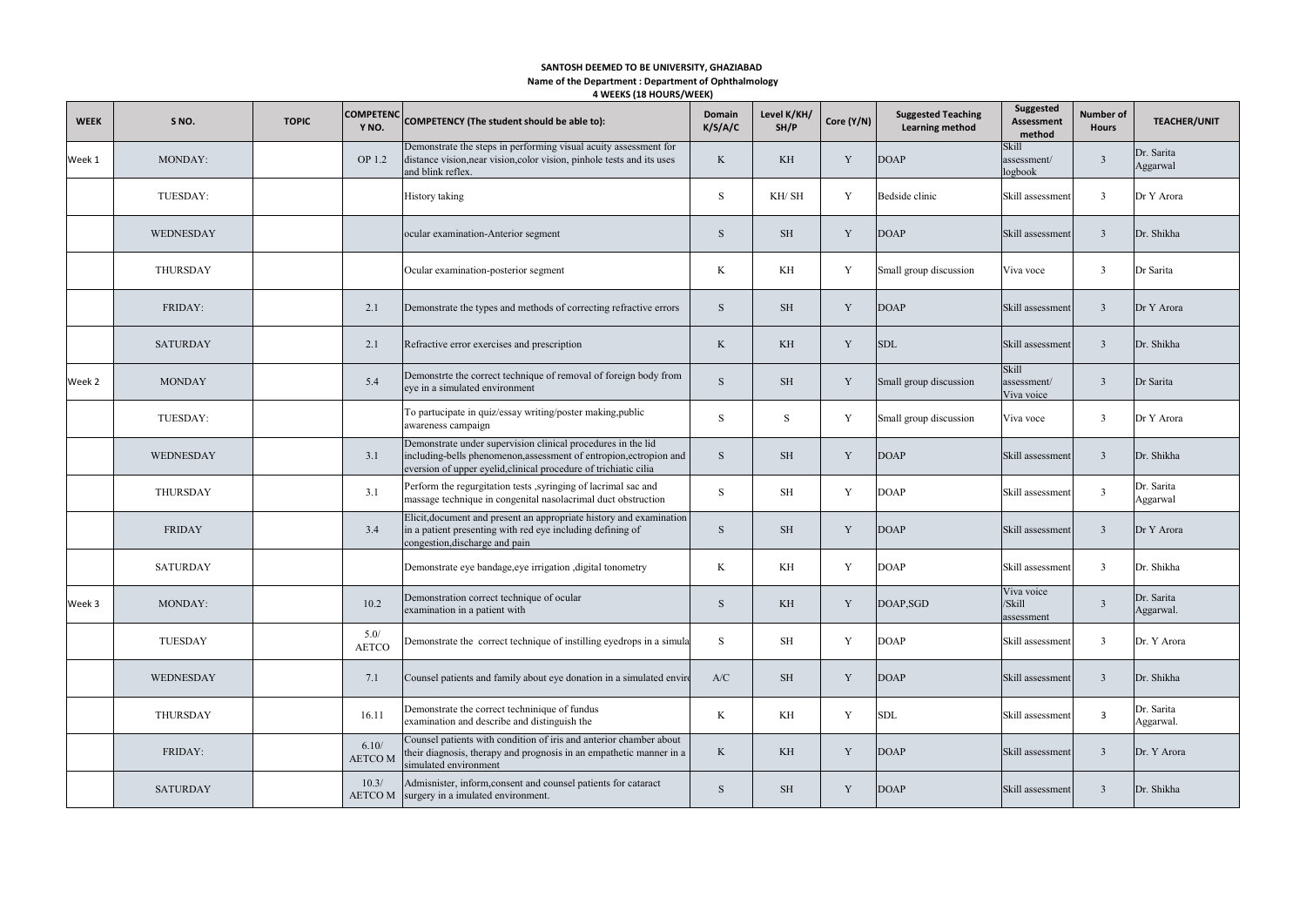**4 WEEKS (18 HOURS/WEEK) SANTOSH DEEMED TO BE UNIVERSITY, GHAZIABAD Name of the Department : Department of Ophthalmology**

| <b>WEEK</b> | S <sub>NO</sub> . | <b>TOPIC</b> | <b>COMPETENC</b><br>Y NO. | COMPETENCY (The student should be able to):                                                                                                                                                            | Domain<br>K/S/A/C | Level K/KH/<br>SH/P | Core (Y/N)  | <b>Suggested Teaching</b><br><b>Learning method</b> | Suggested<br><b>Assessment</b><br>method | <b>Number of</b><br><b>Hours</b> | <b>TEACHER/UNIT</b>     |
|-------------|-------------------|--------------|---------------------------|--------------------------------------------------------------------------------------------------------------------------------------------------------------------------------------------------------|-------------------|---------------------|-------------|-----------------------------------------------------|------------------------------------------|----------------------------------|-------------------------|
| Week 1      | MONDAY:           |              | OP 1.2                    | Demonstrate the steps in performing visual acuity assessment for<br>distance vision, near vision, color vision, pinhole tests and its uses<br>and blink reflex.                                        | K                 | KH                  | Y           | <b>DOAP</b>                                         | Skill<br>assessment/<br>logbook          | $\overline{3}$                   | Dr. Sarita<br>Aggarwal  |
|             | TUESDAY:          |              |                           | History taking                                                                                                                                                                                         | S                 | KH/ SH              | Y           | Bedside clinic                                      | Skill assessment                         | $\mathbf{3}$                     | Dr Y Arora              |
|             | WEDNESDAY         |              |                           | ocular examination-Anterior segment                                                                                                                                                                    | $\,$ S            | <b>SH</b>           | $\mathbf Y$ | <b>DOAP</b>                                         | Skill assessment                         | $\mathbf{3}$                     | Dr. Shikha              |
|             | THURSDAY          |              |                           | Ocular examination-posterior segment                                                                                                                                                                   | K                 | KH                  | Y           | Small group discussion                              | Viva voce                                | $\mathbf{3}$                     | Dr Sarita               |
|             | FRIDAY:           |              | 2.1                       | Demonstrate the types and methods of correcting refractive errors                                                                                                                                      | S                 | <b>SH</b>           | Y           | <b>DOAP</b>                                         | Skill assessment                         | $\overline{\mathbf{3}}$          | Dr Y Arora              |
|             | <b>SATURDAY</b>   |              | 2.1                       | Refractive error exercises and prescription                                                                                                                                                            | $\rm K$           | KH                  | $\mathbf Y$ | <b>SDL</b>                                          | Skill assessment                         | $\overline{\mathbf{3}}$          | Dr. Shikha              |
| Week 2      | <b>MONDAY</b>     |              | 5.4                       | Demonstrte the correct technique of removal of foreign body from<br>eye in a simulated environment                                                                                                     | S                 | <b>SH</b>           | Y           | Small group discussion                              | Skill<br>assessment/<br>Viva voice       | $\overline{3}$                   | Dr Sarita               |
|             | TUESDAY:          |              |                           | To partucipate in quiz/essay writing/poster making,public<br>awareness campaign                                                                                                                        | S                 | S                   | Y           | Small group discussion                              | Viva voce                                | $\mathbf{3}$                     | Dr Y Arora              |
|             | WEDNESDAY         |              | 3.1                       | Demonstrate under supervision clinical procedures in the lid<br>including-bells phenomenon, assessment of entropion, ectropion and<br>eversion of upper eyelid, clinical procedure of trichiatic cilia | $\,$ S            | <b>SH</b>           | $\mathbf Y$ | <b>DOAP</b>                                         | Skill assessment                         | $\mathbf{3}$                     | Dr. Shikha              |
|             | THURSDAY          |              | 3.1                       | Perform the regurgitation tests , syringing of lacrimal sac and<br>massage technique in congenital nasolacrimal duct obstruction                                                                       | S                 | <b>SH</b>           | Y           | <b>DOAP</b>                                         | Skill assessment                         | $\mathbf{3}$                     | Dr. Sarita<br>Aggarwal  |
|             | <b>FRIDAY</b>     |              | 3.4                       | Elicit, document and present an appropriate history and examination<br>in a patient presenting with red eye including defining of<br>congestion, discharge and pain                                    | S                 | <b>SH</b>           | Y           | <b>DOAP</b>                                         | Skill assessment                         | $\mathbf{3}$                     | Dr Y Arora              |
|             | <b>SATURDAY</b>   |              |                           | Demonstrate eye bandage, eye irrigation, digital tonometry                                                                                                                                             | K                 | KH                  | Y           | <b>DOAP</b>                                         | Skill assessment                         | $\mathbf{3}$                     | Dr. Shikha              |
| Week 3      | MONDAY:           |              | 10.2                      | Demonstration correct technique of ocular<br>examination in a patient with                                                                                                                             | $\,$ S            | KH.                 | Y           | DOAP, SGD                                           | Viva voice<br>/Skill<br>assessment       | $\overline{3}$                   | Dr. Sarita<br>Aggarwal. |
|             | TUESDAY           |              | 5.0/<br><b>AETCO</b>      | Demonstrate the correct technique of instilling eyedrops in a simula                                                                                                                                   | S                 | SH                  | Y           | <b>DOAP</b>                                         | Skill assessment                         | $\mathbf{3}$                     | Dr. Y Arora             |
|             | WEDNESDAY         |              | 7.1                       | Counsel patients and family about eye donation in a simulated envire                                                                                                                                   | A/C               | <b>SH</b>           | $\mathbf Y$ | <b>DOAP</b>                                         | Skill assessment                         | $\mathbf{3}$                     | Dr. Shikha              |
|             | THURSDAY          |              | 16.11                     | Demonstrate the correct techninique of fundus<br>examination and describe and distinguish the                                                                                                          | K                 | KH                  | Y           | <b>SDL</b>                                          | Skill assessment                         | $\overline{\mathbf{3}}$          | Dr. Sarita<br>Aggarwal. |
|             | FRIDAY:           |              | 6.10/<br>AETCO M          | Counsel patients with condition of iris and anterior chamber about<br>their diagnosis, therapy and prognosis in an empathetic manner in a<br>simulated environment                                     | K                 | KH                  | Y           | <b>DOAP</b>                                         | Skill assessment                         | $\mathbf{3}$                     | Dr. Y Arora             |
|             | <b>SATURDAY</b>   |              | 10.3/                     | Admisnister, inform, consent and counsel patients for cataract<br>AETCO M surgery in a imulated environment.                                                                                           | S                 | <b>SH</b>           | Y           | <b>DOAP</b>                                         | Skill assessment                         | $\overline{3}$                   | Dr. Shikha              |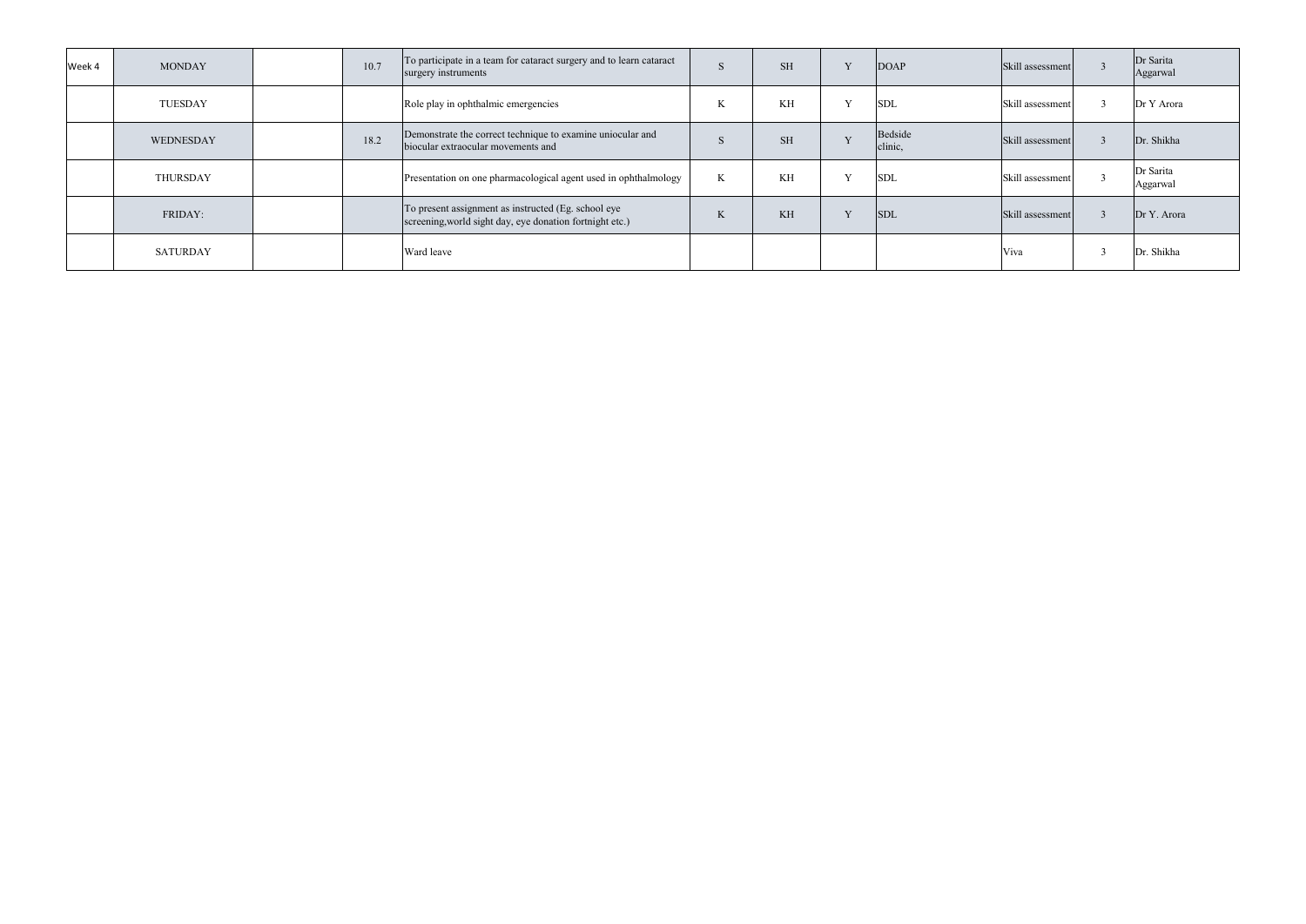| Week 4 | <b>MONDAY</b> | 10.7 | To participate in a team for cataract surgery and to learn cataract<br>surgery instruments                      |    | <b>SH</b> |                | <b>DOAP</b>        | Skill assessment | Dr Sarita<br>Aggarwal |
|--------|---------------|------|-----------------------------------------------------------------------------------------------------------------|----|-----------|----------------|--------------------|------------------|-----------------------|
|        | TUESDAY       |      | Role play in ophthalmic emergencies                                                                             |    | KH        | x,             | <b>SDL</b>         | Skill assessment | Dr Y Arora            |
|        | WEDNESDAY     | 18.2 | Demonstrate the correct technique to examine uniocular and<br>biocular extraocular movements and                |    | <b>SH</b> | $\overline{z}$ | Bedside<br>clinic, | Skill assessment | Dr. Shikha            |
|        | THURSDAY      |      | Presentation on one pharmacological agent used in ophthalmology                                                 | K. | KН        |                | <b>SDL</b>         | Skill assessment | Dr Sarita<br>Aggarwal |
|        | FRIDAY:       |      | To present assignment as instructed (Eg. school eye<br>screening, world sight day, eye donation fortnight etc.) |    | KH        | T              | <b>SDL</b>         | Skill assessment | Dr Y. Arora           |
|        | SATURDAY      |      | Ward leave                                                                                                      |    |           |                |                    | Viva             | Dr. Shikha            |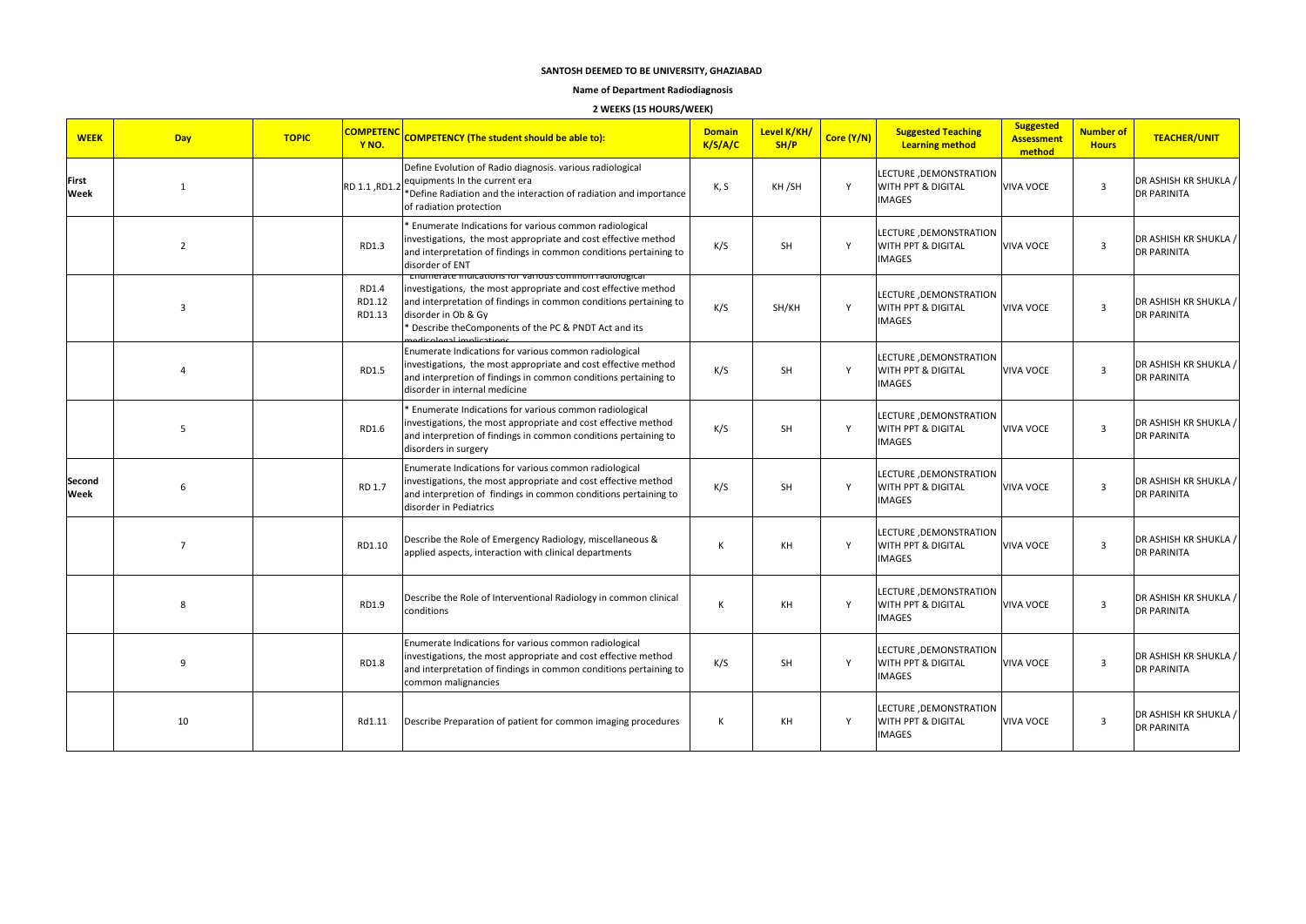#### **Name of Department Radiodiagnosis**

# **2 WEEKS (15 HOURS/WEEK)**

| <b>WEEK</b>          | <b>Day</b>     | <b>TOPIC</b> | <b>COMPETENC</b><br>Y <sub>NO</sub> . | <b>COMPETENCY (The student should be able to):</b>                                                                                                                                                                                                                           | <b>Domain</b><br>K/S/A/C | Level K/KH/<br>SH/P | Core (Y/N) | <b>Suggested Teaching</b><br><b>Learning method</b>            | <b>Suggested</b><br><b>Assessment</b><br>method | <b>Number of</b><br><b>Hours</b> | <b>TEACHER/UNIT</b>                         |
|----------------------|----------------|--------------|---------------------------------------|------------------------------------------------------------------------------------------------------------------------------------------------------------------------------------------------------------------------------------------------------------------------------|--------------------------|---------------------|------------|----------------------------------------------------------------|-------------------------------------------------|----------------------------------|---------------------------------------------|
| <b>First</b><br>Week | $\mathbf{1}$   |              |                                       | Define Evolution of Radio diagnosis. various radiological<br>RD 1.1, RD1.2 equipments In the current era<br>RD 1.1, RD1.2 *Define Radiation and the interaction of radiation and importance<br>of radiation protection                                                       | K, S                     | KH/SH               | Y          | LECTURE , DEMONSTRATION<br>WITH PPT & DIGITAL<br><b>IMAGES</b> | <b>VIVA VOCE</b>                                | $\overline{\mathbf{3}}$          | DR ASHISH KR SHUKLA /<br><b>DR PARINITA</b> |
|                      | $\overline{2}$ |              | RD1.3                                 | * Enumerate Indications for various common radiological<br>investigations, the most appropriate and cost effective method<br>and interpretation of findings in common conditions pertaining to<br>disorder of ENT                                                            | K/S                      | <b>SH</b>           | Y          | LECTURE, DEMONSTRATION<br>WITH PPT & DIGITAL<br><b>IMAGES</b>  | <b>VIVA VOCE</b>                                | $\overline{3}$                   | DR ASHISH KR SHUKLA /<br><b>DR PARINITA</b> |
|                      | $\overline{3}$ |              | RD1.4<br>RD1.12<br>RD1.13             | enumerate muitations for various common radiological<br>investigations, the most appropriate and cost effective method<br>and interpretation of findings in common conditions pertaining to<br>disorder in Ob & Gy<br>* Describe the Components of the PC & PNDT Act and its | K/S                      | SH/KH               | Y          | LECTURE , DEMONSTRATION<br>WITH PPT & DIGITAL<br><b>IMAGES</b> | <b>VIVA VOCE</b>                                | $\overline{3}$                   | DR ASHISH KR SHUKLA /<br><b>DR PARINITA</b> |
|                      | $\overline{a}$ |              | RD1.5                                 | Enumerate Indications for various common radiological<br>investigations, the most appropriate and cost effective method<br>and interpretion of findings in common conditions pertaining to<br>disorder in internal medicine                                                  | K/S                      | <b>SH</b>           | Y          | LECTURE , DEMONSTRATION<br>WITH PPT & DIGITAL<br><b>IMAGES</b> | <b>VIVA VOCE</b>                                | $\overline{3}$                   | DR ASHISH KR SHUKLA /<br><b>DR PARINITA</b> |
|                      | 5              |              | RD1.6                                 | * Enumerate Indications for various common radiological<br>investigations, the most appropriate and cost effective method<br>and interpretion of findings in common conditions pertaining to<br>disorders in surgery                                                         | K/S                      | <b>SH</b>           | Y          | LECTURE, DEMONSTRATION<br>WITH PPT & DIGITAL<br><b>IMAGES</b>  | <b>VIVA VOCE</b>                                | $\overline{\mathbf{3}}$          | DR ASHISH KR SHUKLA /<br><b>DR PARINITA</b> |
| Second<br>Week       | 6              |              | RD 1.7                                | Enumerate Indications for various common radiological<br>investigations, the most appropriate and cost effective method<br>and interpretion of findings in common conditions pertaining to<br>disorder in Pediatrics                                                         | K/S                      | SH                  | Y          | LECTURE , DEMONSTRATION<br>WITH PPT & DIGITAL<br><b>IMAGES</b> | <b>VIVA VOCE</b>                                | $\overline{\mathbf{3}}$          | DR ASHISH KR SHUKLA /<br><b>DR PARINITA</b> |
|                      | $\overline{7}$ |              | RD1.10                                | Describe the Role of Emergency Radiology, miscellaneous &<br>applied aspects, interaction with clinical departments                                                                                                                                                          | ĸ                        | KH                  | Y          | LECTURE, DEMONSTRATION<br>WITH PPT & DIGITAL<br><b>IMAGES</b>  | <b>VIVA VOCE</b>                                | $\overline{3}$                   | DR ASHISH KR SHUKLA /<br><b>DR PARINITA</b> |
|                      | 8              |              | RD1.9                                 | Describe the Role of Interventional Radiology in common clinical<br>conditions                                                                                                                                                                                               | K                        | KH                  | Y          | LECTURE , DEMONSTRATION<br>WITH PPT & DIGITAL<br><b>IMAGES</b> | <b>VIVA VOCE</b>                                | $\overline{3}$                   | DR ASHISH KR SHUKLA /<br><b>DR PARINITA</b> |
|                      | 9              |              | RD1.8                                 | Enumerate Indications for various common radiological<br>investigations, the most appropriate and cost effective method<br>and interpretation of findings in common conditions pertaining to<br>common malignancies                                                          | K/S                      | <b>SH</b>           | Y          | LECTURE , DEMONSTRATION<br>WITH PPT & DIGITAL<br><b>IMAGES</b> | <b>VIVA VOCE</b>                                | $\overline{3}$                   | DR ASHISH KR SHUKLA /<br><b>DR PARINITA</b> |
|                      | 10             |              | Rd1.11                                | Describe Preparation of patient for common imaging procedures                                                                                                                                                                                                                | К                        | КH                  | Y          | LECTURE, DEMONSTRATION<br>WITH PPT & DIGITAL<br><b>IMAGES</b>  | <b>VIVA VOCE</b>                                | $\overline{\mathbf{3}}$          | DR ASHISH KR SHUKLA /<br><b>DR PARINITA</b> |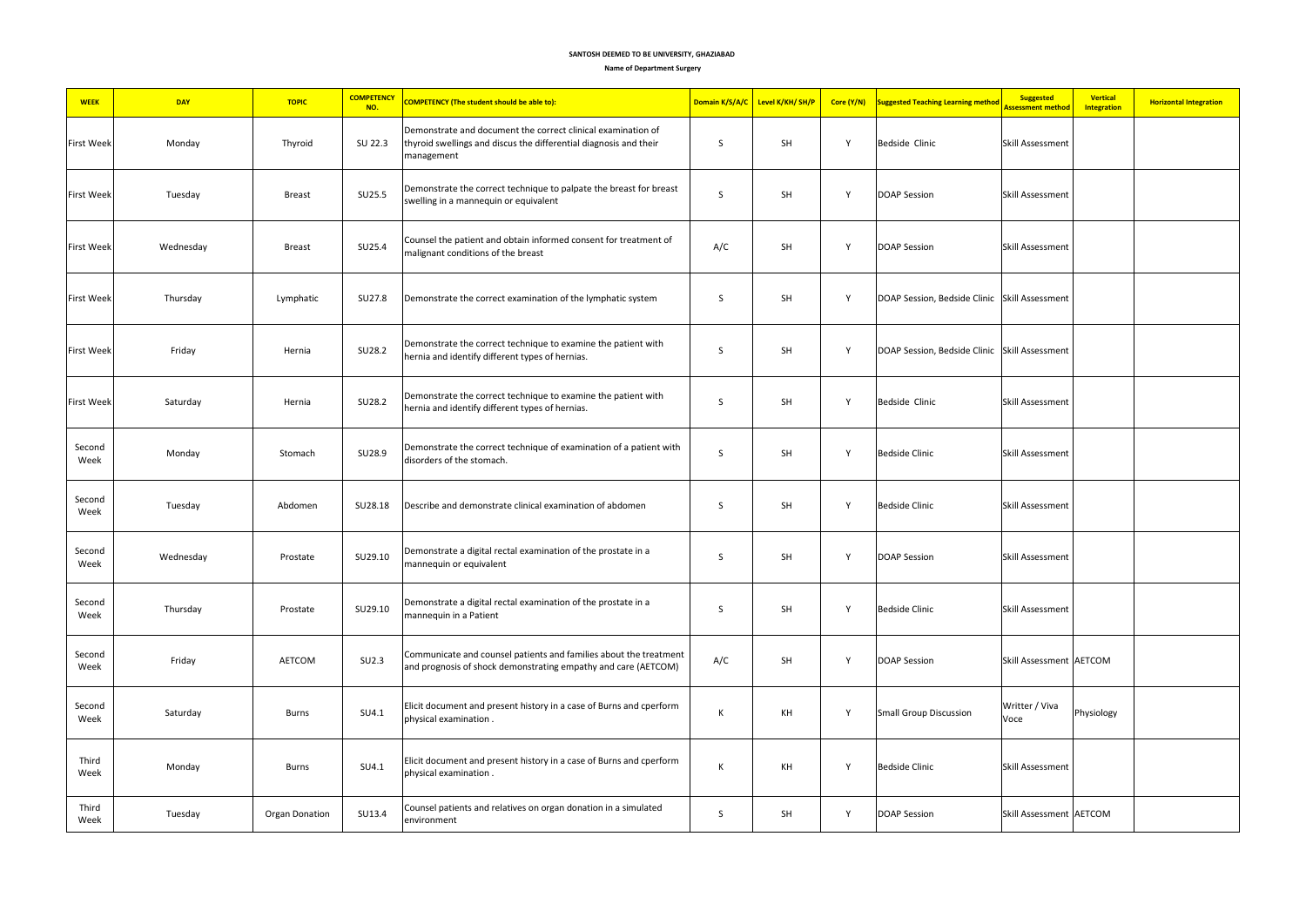#### **Name of Department Surgery**

| <b>WEEK</b>       | <b>DAY</b> | <b>TOPIC</b>   | <b>COMPETENCY</b><br>NO. | <b>COMPETENCY (The student should be able to):</b>                                                                                              | Domain K/S/A/C | Level K/KH/ SH/P | Core (Y/N) | <b>Suggested Teaching Learning method</b>     | <b>Suggested</b><br>Vertical<br>Assessment method<br><b>Integration</b> | <b>Horizontal Integration</b> |
|-------------------|------------|----------------|--------------------------|-------------------------------------------------------------------------------------------------------------------------------------------------|----------------|------------------|------------|-----------------------------------------------|-------------------------------------------------------------------------|-------------------------------|
| First Week        | Monday     | Thyroid        | SU 22.3                  | Demonstrate and document the correct clinical examination of<br>thyroid swellings and discus the differential diagnosis and their<br>management | S              | SH               | Y          | Bedside Clinic                                | <b>Skill Assessment</b>                                                 |                               |
| <b>First Week</b> | Tuesday    | <b>Breast</b>  | SU25.5                   | Demonstrate the correct technique to palpate the breast for breast<br>swelling in a mannequin or equivalent                                     | S              | <b>SH</b>        | Y          | <b>DOAP Session</b>                           | Skill Assessment                                                        |                               |
| <b>First Week</b> | Wednesday  | <b>Breast</b>  | SU25.4                   | Counsel the patient and obtain informed consent for treatment of<br>malignant conditions of the breast                                          | A/C            | SH               | Y          | <b>DOAP Session</b>                           | Skill Assessment                                                        |                               |
| <b>First Week</b> | Thursday   | Lymphatic      | SU27.8                   | Demonstrate the correct examination of the lymphatic system                                                                                     | S              | SH               | Y          | DOAP Session, Bedside Clinic Skill Assessment |                                                                         |                               |
| <b>First Week</b> | Friday     | Hernia         | SU28.2                   | Demonstrate the correct technique to examine the patient with<br>hernia and identify different types of hernias.                                | S              | SH               | Y          | DOAP Session, Bedside Clinic Skill Assessment |                                                                         |                               |
| <b>First Week</b> | Saturday   | Hernia         | SU28.2                   | Demonstrate the correct technique to examine the patient with<br>hernia and identify different types of hernias.                                | S              | SH               | Y          | Bedside Clinic                                | <b>Skill Assessment</b>                                                 |                               |
| Second<br>Week    | Monday     | Stomach        | SU28.9                   | Demonstrate the correct technique of examination of a patient with<br>disorders of the stomach.                                                 | S              | SH               | Y          | <b>Bedside Clinic</b>                         | <b>Skill Assessment</b>                                                 |                               |
| Second<br>Week    | Tuesday    | Abdomen        | SU28.18                  | Describe and demonstrate clinical examination of abdomen                                                                                        | S              | SH               | Y          | <b>Bedside Clinic</b>                         | <b>Skill Assessment</b>                                                 |                               |
| Second<br>Week    | Wednesday  | Prostate       | SU29.10                  | Demonstrate a digital rectal examination of the prostate in a<br>mannequin or equivalent                                                        | S              | SH               | Y          | <b>DOAP Session</b>                           | Skill Assessment                                                        |                               |
| Second<br>Week    | Thursday   | Prostate       | SU29.10                  | Demonstrate a digital rectal examination of the prostate in a<br>mannequin in a Patient                                                         | S              | <b>SH</b>        | Y          | <b>Bedside Clinic</b>                         | Skill Assessment                                                        |                               |
| Second<br>Week    | Friday     | <b>AETCOM</b>  | SU <sub>2.3</sub>        | Communicate and counsel patients and families about the treatment<br>and prognosis of shock demonstrating empathy and care (AETCOM)             | A/C            | <b>SH</b>        | Y          | <b>DOAP Session</b>                           | Skill Assessment AETCOM                                                 |                               |
| Second<br>Week    | Saturday   | Burns          | SU4.1                    | Elicit document and present history in a case of Burns and cperform<br>physical examination.                                                    | K              | KH               | Y          | <b>Small Group Discussion</b>                 | Writter / Viva<br>Physiology<br>Voce                                    |                               |
| Third<br>Week     | Monday     | Burns          | SU4.1                    | Elicit document and present history in a case of Burns and cperform<br>physical examination.                                                    | К              | KH               | Y          | <b>Bedside Clinic</b>                         | Skill Assessment                                                        |                               |
| Third<br>Week     | Tuesday    | Organ Donation | SU13.4                   | Counsel patients and relatives on organ donation in a simulated<br>environment                                                                  | S              | SH               | Y          | <b>DOAP Session</b>                           | Skill Assessment AETCOM                                                 |                               |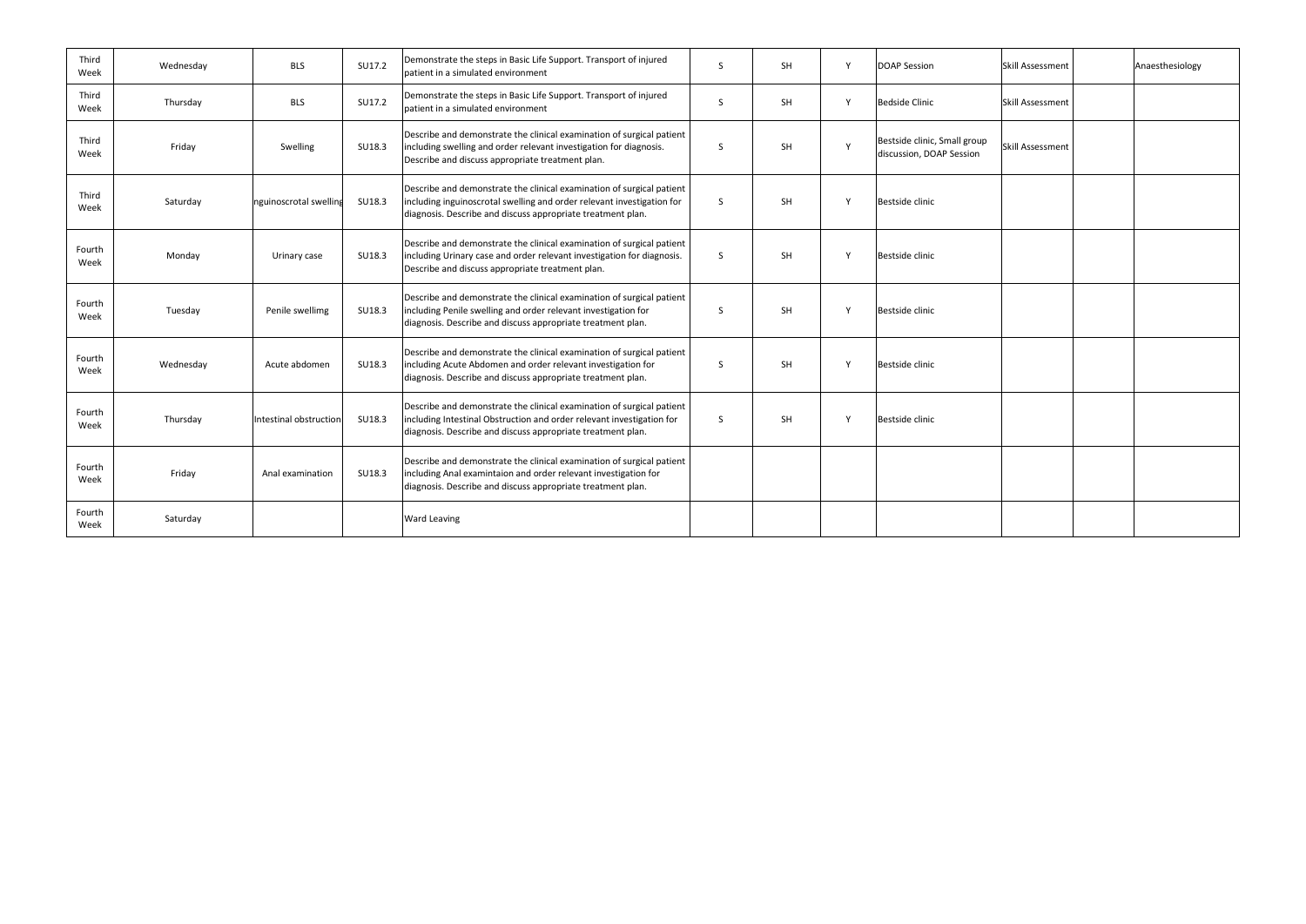| Third<br>Week  | Wednesday | <b>BLS</b>             | SU17.2 | Demonstrate the steps in Basic Life Support. Transport of injured<br>patient in a simulated environment                                                                                                        | <sub>S</sub> | <b>SH</b> |        | <b>DOAP Session</b>                                      | <b>Skill Assessment</b> | Anaesthesiology |
|----------------|-----------|------------------------|--------|----------------------------------------------------------------------------------------------------------------------------------------------------------------------------------------------------------------|--------------|-----------|--------|----------------------------------------------------------|-------------------------|-----------------|
| Third<br>Week  | Thursday  | <b>BLS</b>             | SU17.2 | Demonstrate the steps in Basic Life Support. Transport of injured<br>patient in a simulated environment                                                                                                        | S.           | <b>SH</b> |        | <b>Bedside Clinic</b>                                    | <b>Skill Assessment</b> |                 |
| Third<br>Week  | Friday    | Swelling               | SU18.3 | Describe and demonstrate the clinical examination of surgical patient<br>including swelling and order relevant investigation for diagnosis.<br>Describe and discuss appropriate treatment plan.                | <sub>S</sub> | <b>SH</b> |        | Bestside clinic, Small group<br>discussion, DOAP Session | <b>Skill Assessment</b> |                 |
| Third<br>Week  | Saturday  | nguinoscrotal swelling | SU18.3 | Describe and demonstrate the clinical examination of surgical patient<br>including inguinoscrotal swelling and order relevant investigation for<br>diagnosis. Describe and discuss appropriate treatment plan. | <sub>S</sub> | <b>SH</b> |        | Bestside clinic                                          |                         |                 |
| Fourth<br>Week | Monday    | Urinary case           | SU18.3 | Describe and demonstrate the clinical examination of surgical patient<br>including Urinary case and order relevant investigation for diagnosis.<br>Describe and discuss appropriate treatment plan.            | <sub>S</sub> | <b>SH</b> |        | Bestside clinic                                          |                         |                 |
| Fourth<br>Week | Tuesday   | Penile swellimg        | SU18.3 | Describe and demonstrate the clinical examination of surgical patient<br>including Penile swelling and order relevant investigation for<br>diagnosis. Describe and discuss appropriate treatment plan.         | -S.          | <b>SH</b> |        | Bestside clinic                                          |                         |                 |
| Fourth<br>Week | Wednesday | Acute abdomen          | SU18.3 | Describe and demonstrate the clinical examination of surgical patient<br>including Acute Abdomen and order relevant investigation for<br>diagnosis. Describe and discuss appropriate treatment plan.           | S.           | <b>SH</b> |        | Bestside clinic                                          |                         |                 |
| Fourth<br>Week | Thursday  | Intestinal obstruction | SU18.3 | Describe and demonstrate the clinical examination of surgical patient<br>including Intestinal Obstruction and order relevant investigation for<br>diagnosis. Describe and discuss appropriate treatment plan.  | S.           | SH        | $\vee$ | <b>Bestside clinic</b>                                   |                         |                 |
| Fourth<br>Week | Friday    | Anal examination       | SU18.3 | Describe and demonstrate the clinical examination of surgical patient<br>including Anal examintaion and order relevant investigation for<br>diagnosis. Describe and discuss appropriate treatment plan.        |              |           |        |                                                          |                         |                 |
| Fourth<br>Week | Saturday  |                        |        | <b>Ward Leaving</b>                                                                                                                                                                                            |              |           |        |                                                          |                         |                 |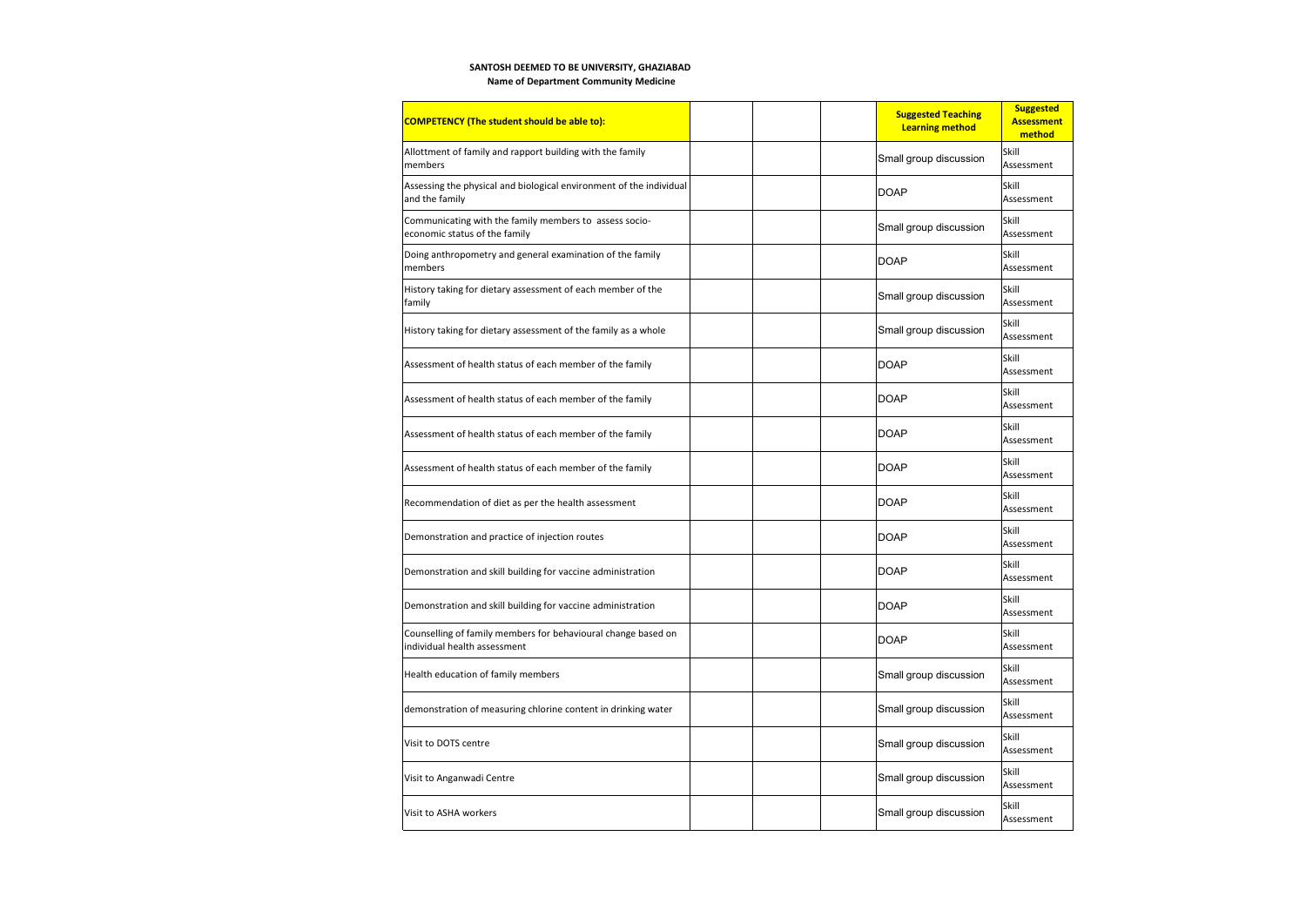**Name of Department Community Medicine**

| <b>COMPETENCY (The student should be able to):</b>                                            |  | <b>Suggested Teaching</b><br><b>Learning method</b> | <b>Suggested</b><br><b>Assessment</b><br>method |
|-----------------------------------------------------------------------------------------------|--|-----------------------------------------------------|-------------------------------------------------|
| Allottment of family and rapport building with the family<br>members                          |  | Small group discussion                              | Skill<br>Assessment                             |
| Assessing the physical and biological environment of the individual<br>and the family         |  | <b>DOAP</b>                                         | Skill<br>Assessment                             |
| Communicating with the family members to assess socio-<br>economic status of the family       |  | Small group discussion                              | Skill<br>Assessment                             |
| Doing anthropometry and general examination of the family<br>members                          |  | <b>DOAP</b>                                         | Skill<br>Assessment                             |
| History taking for dietary assessment of each member of the<br>family                         |  | Small group discussion                              | Skill<br>Assessment                             |
| History taking for dietary assessment of the family as a whole                                |  | Small group discussion                              | Skill<br>Assessment                             |
| Assessment of health status of each member of the family                                      |  | <b>DOAP</b>                                         | Skill<br>Assessment                             |
| Assessment of health status of each member of the family                                      |  | <b>DOAP</b>                                         | Skill<br>Assessment                             |
| Assessment of health status of each member of the family                                      |  | <b>DOAP</b>                                         | Skill<br>Assessment                             |
| Assessment of health status of each member of the family                                      |  | <b>DOAP</b>                                         | Skill<br>Assessment                             |
| Recommendation of diet as per the health assessment                                           |  | <b>DOAP</b>                                         | Skill<br>Assessment                             |
| Demonstration and practice of injection routes                                                |  | <b>DOAP</b>                                         | Skill<br>Assessment                             |
| Demonstration and skill building for vaccine administration                                   |  | <b>DOAP</b>                                         | Skill<br>Assessment                             |
| Demonstration and skill building for vaccine administration                                   |  | <b>DOAP</b>                                         | Skill<br>Assessment                             |
| Counselling of family members for behavioural change based on<br>individual health assessment |  | <b>DOAP</b>                                         | Skill<br>Assessment                             |
| Health education of family members                                                            |  | Small group discussion                              | Skill<br>Assessment                             |
| demonstration of measuring chlorine content in drinking water                                 |  | Small group discussion                              | Skill<br>Assessment                             |
| Visit to DOTS centre                                                                          |  | Small group discussion                              | Skill<br>Assessment                             |
| Visit to Anganwadi Centre                                                                     |  | Small group discussion                              | Skill<br>Assessment                             |
| Visit to ASHA workers                                                                         |  | Small group discussion                              | Skill<br>Assessment                             |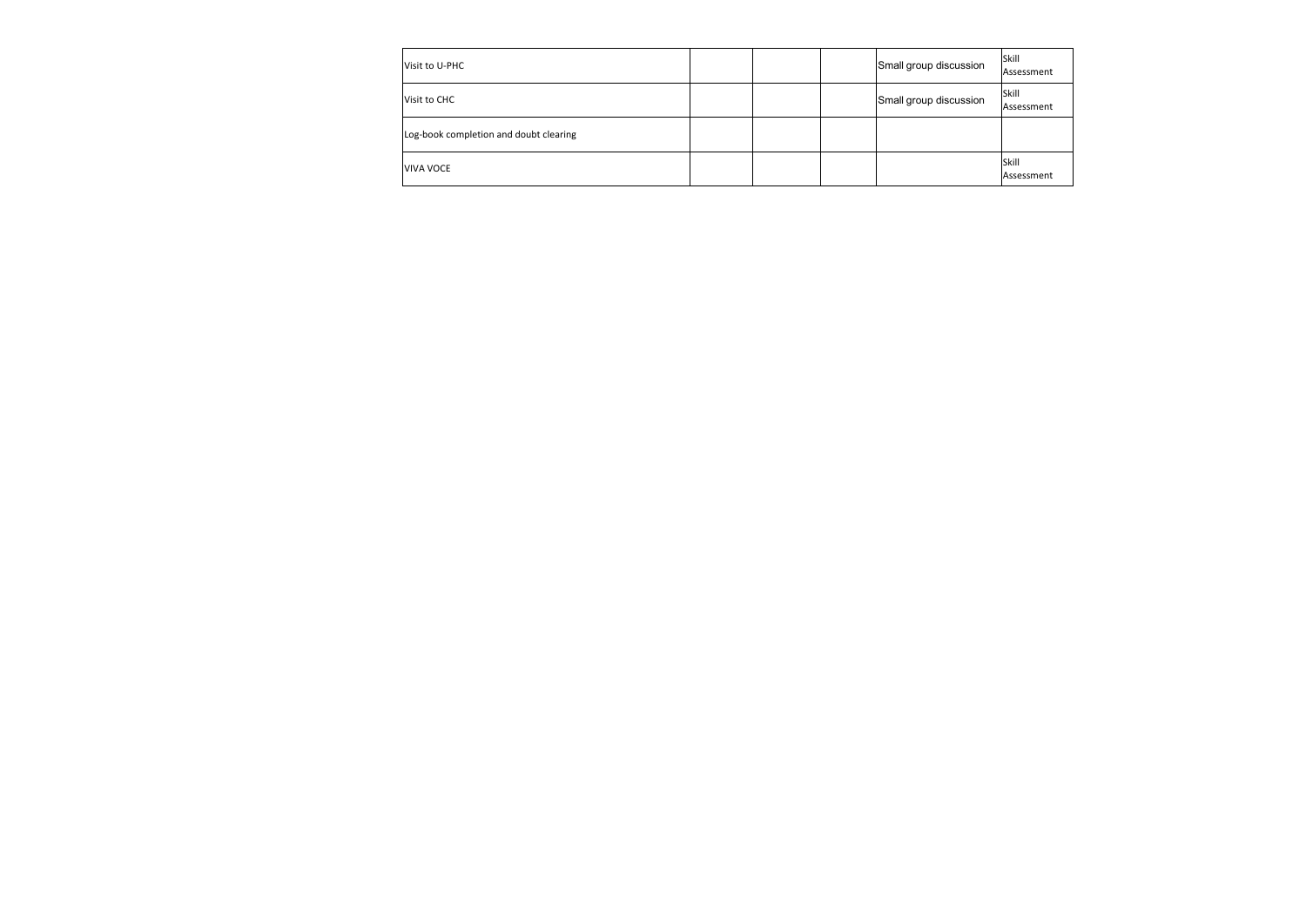| Visit to U-PHC                         |  | Small group discussion | <b>Skill</b><br>Assessment |
|----------------------------------------|--|------------------------|----------------------------|
| Visit to CHC                           |  | Small group discussion | <b>Skill</b><br>Assessment |
| Log-book completion and doubt clearing |  |                        |                            |
| VIVA VOCE                              |  |                        | Skill<br>Assessment        |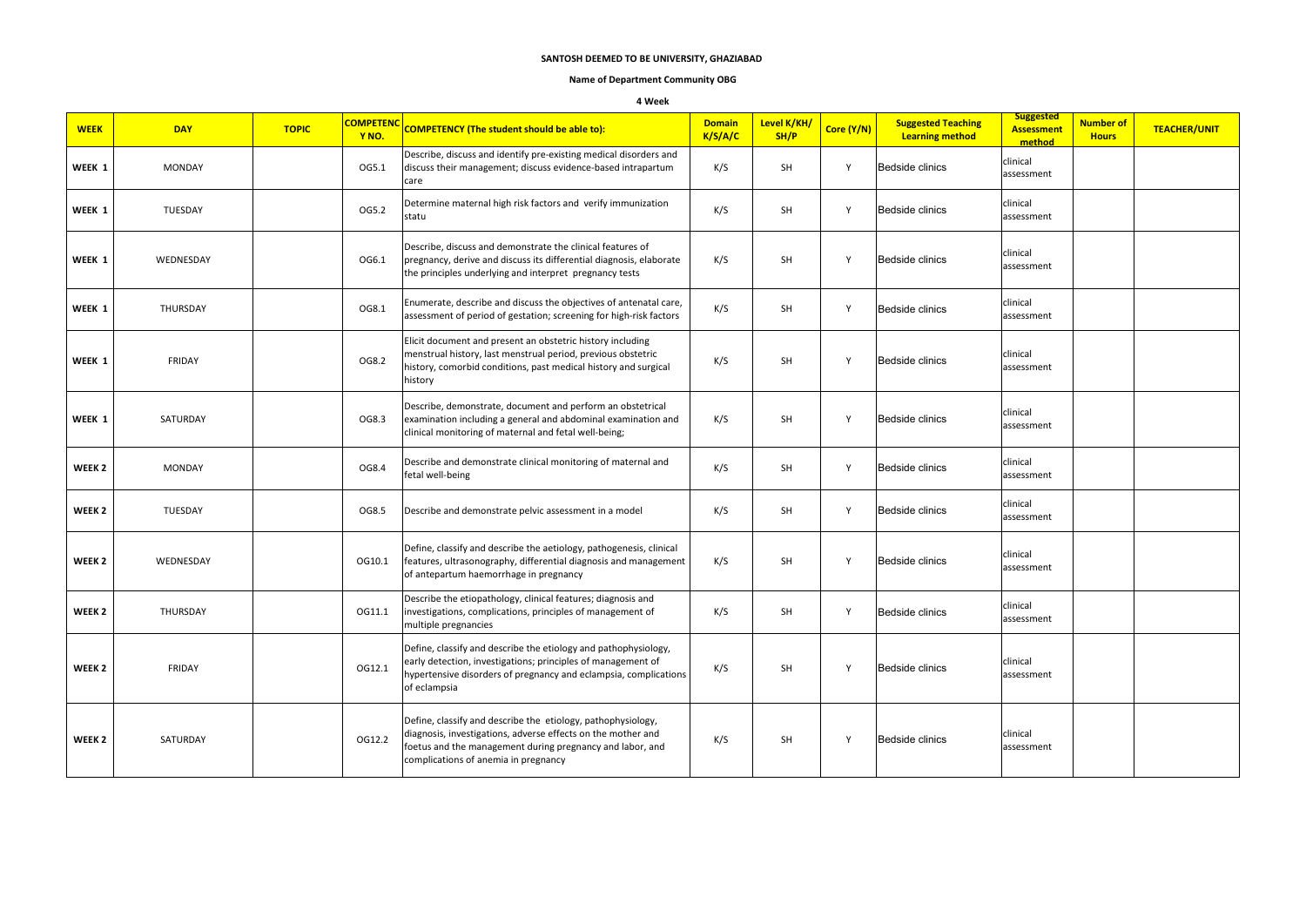#### **Name of Department Community OBG**

#### **4 Week**

| <b>WEEK</b>       | <b>DAY</b>    | <b>TOPIC</b> | <b>COMPETENC</b><br>Y <sub>NO</sub> . | <b>COMPETENCY (The student should be able to):</b>                                                                                                                                                                                | <b>Domain</b><br>K/S/A/C | Level K/KH/<br>SH/P | Core (Y/N) | <b>Suggested Teaching</b><br><b>Learning method</b> | <b>Suggested</b><br><b>Assessment</b><br>method | <b>Number of</b><br><b>Hours</b> | <b>TEACHER/UNIT</b> |
|-------------------|---------------|--------------|---------------------------------------|-----------------------------------------------------------------------------------------------------------------------------------------------------------------------------------------------------------------------------------|--------------------------|---------------------|------------|-----------------------------------------------------|-------------------------------------------------|----------------------------------|---------------------|
| WEEK 1            | <b>MONDAY</b> |              | OG5.1                                 | Describe, discuss and identify pre-existing medical disorders and<br>discuss their management; discuss evidence-based intrapartum<br>care                                                                                         | K/S                      | SH                  | Υ          | Bedside clinics                                     | clinical<br>assessment                          |                                  |                     |
| WEEK 1            | TUESDAY       |              | OG5.2                                 | Determine maternal high risk factors and verify immunization<br>statu                                                                                                                                                             | K/S                      | SH                  | Y          | Bedside clinics                                     | clinical<br>assessment                          |                                  |                     |
| WEEK 1            | WEDNESDAY     |              | OG6.1                                 | Describe, discuss and demonstrate the clinical features of<br>pregnancy, derive and discuss its differential diagnosis, elaborate<br>the principles underlying and interpret pregnancy tests                                      | K/S                      | <b>SH</b>           | Y          | Bedside clinics                                     | clinical<br>assessment                          |                                  |                     |
| WEEK 1            | THURSDAY      |              | OG8.1                                 | Enumerate, describe and discuss the objectives of antenatal care,<br>assessment of period of gestation; screening for high-risk factors                                                                                           | K/S                      | SH                  | Y          | Bedside clinics                                     | clinical<br>assessment                          |                                  |                     |
| WEEK 1            | FRIDAY        |              | OG8.2                                 | Elicit document and present an obstetric history including<br>menstrual history, last menstrual period, previous obstetric<br>history, comorbid conditions, past medical history and surgical<br>history                          | K/S                      | SH                  | Y          | Bedside clinics                                     | clinical<br>assessment                          |                                  |                     |
| WEEK 1            | SATURDAY      |              | OG8.3                                 | Describe, demonstrate, document and perform an obstetrical<br>examination including a general and abdominal examination and<br>clinical monitoring of maternal and fetal well-being;                                              | K/S                      | SH                  | Y          | Bedside clinics                                     | clinical<br>assessment                          |                                  |                     |
| WEEK <sub>2</sub> | <b>MONDAY</b> |              | OG8.4                                 | Describe and demonstrate clinical monitoring of maternal and<br>fetal well-being                                                                                                                                                  | K/S                      | SH                  | Y          | Bedside clinics                                     | clinical<br>assessment                          |                                  |                     |
| WEEK <sub>2</sub> | TUESDAY       |              | OG8.5                                 | Describe and demonstrate pelvic assessment in a model                                                                                                                                                                             | K/S                      | SH                  | Y          | Bedside clinics                                     | clinical<br>assessment                          |                                  |                     |
| WEEK <sub>2</sub> | WEDNESDAY     |              | OG10.1                                | Define, classify and describe the aetiology, pathogenesis, clinical<br>features, ultrasonography, differential diagnosis and management<br>of antepartum haemorrhage in pregnancy                                                 | K/S                      | <b>SH</b>           | Y          | Bedside clinics                                     | clinical<br>assessment                          |                                  |                     |
| WEEK <sub>2</sub> | THURSDAY      |              | OG11.1                                | Describe the etiopathology, clinical features; diagnosis and<br>investigations, complications, principles of management of<br>multiple pregnancies                                                                                | K/S                      | <b>SH</b>           | Y          | Bedside clinics                                     | clinical<br>assessment                          |                                  |                     |
| WEEK <sub>2</sub> | <b>FRIDAY</b> |              | OG12.1                                | Define, classify and describe the etiology and pathophysiology,<br>early detection, investigations; principles of management of<br>hypertensive disorders of pregnancy and eclampsia, complications<br>of eclampsia               | K/S                      | SH                  | Y          | Bedside clinics                                     | clinical<br>assessment                          |                                  |                     |
| WEEK <sub>2</sub> | SATURDAY      |              | OG12.2                                | Define, classify and describe the etiology, pathophysiology,<br>diagnosis, investigations, adverse effects on the mother and<br>foetus and the management during pregnancy and labor, and<br>complications of anemia in pregnancy | K/S                      | SH                  | Y          | <b>Bedside clinics</b>                              | clinical<br>assessment                          |                                  |                     |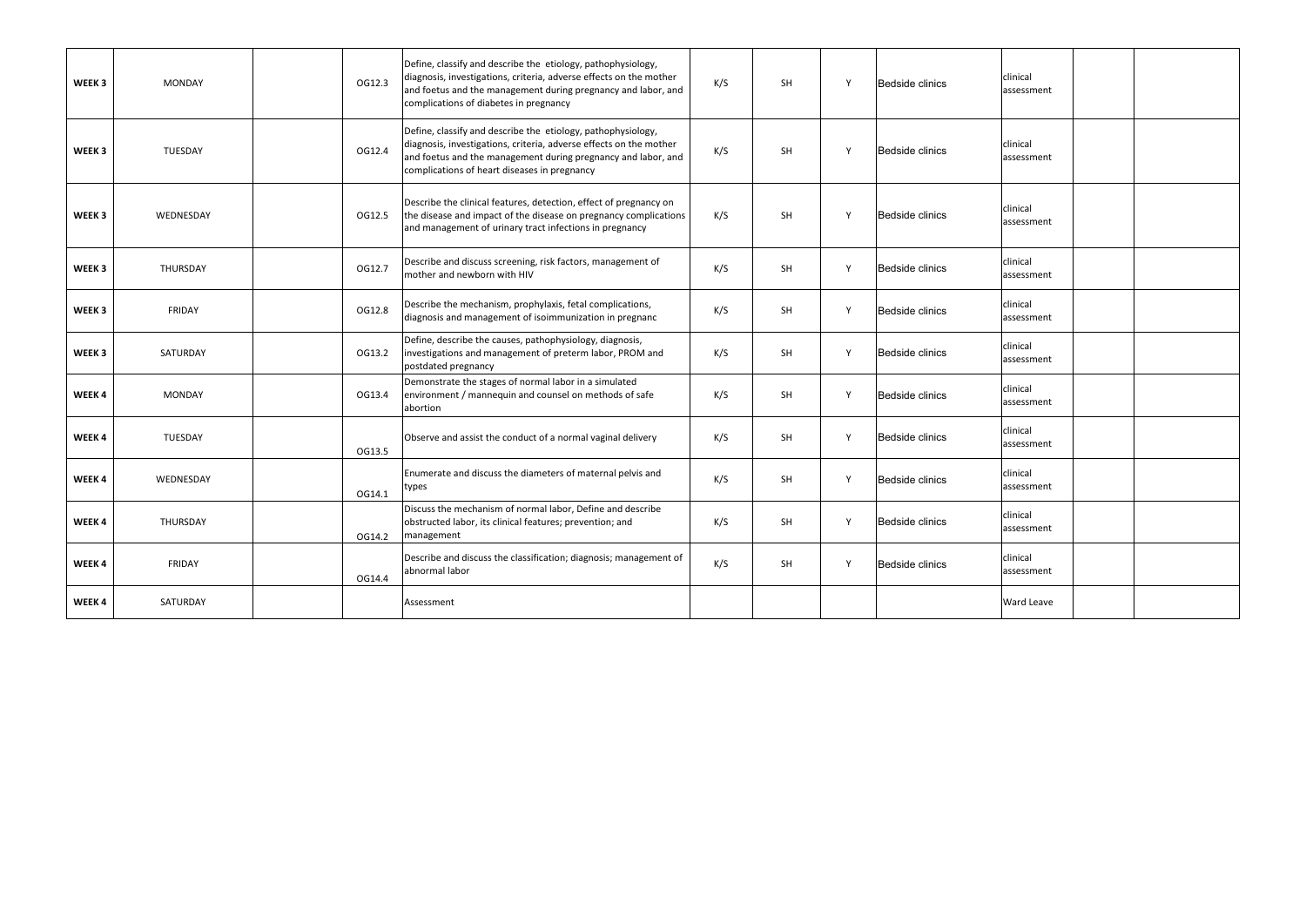| WEEK 3            | <b>MONDAY</b> | OG12.3 | Define, classify and describe the etiology, pathophysiology,<br>diagnosis, investigations, criteria, adverse effects on the mother<br>and foetus and the management during pregnancy and labor, and<br>complications of diabetes in pregnancy       | K/S | <b>SH</b> | $\mathsf{v}$ | <b>Bedside clinics</b> | clinical<br>assessment |  |
|-------------------|---------------|--------|-----------------------------------------------------------------------------------------------------------------------------------------------------------------------------------------------------------------------------------------------------|-----|-----------|--------------|------------------------|------------------------|--|
| WEEK 3            | TUESDAY       | OG12.4 | Define, classify and describe the etiology, pathophysiology,<br>diagnosis, investigations, criteria, adverse effects on the mother<br>and foetus and the management during pregnancy and labor, and<br>complications of heart diseases in pregnancy | K/S | SH        | $\mathsf{v}$ | Bedside clinics        | clinical<br>assessment |  |
| WEEK <sub>3</sub> | WEDNESDAY     | OG12.5 | Describe the clinical features, detection, effect of pregnancy on<br>the disease and impact of the disease on pregnancy complications<br>and management of urinary tract infections in pregnancy                                                    | K/S | <b>SH</b> | $\mathsf{v}$ | <b>Bedside clinics</b> | clinical<br>assessment |  |
| WEEK <sub>3</sub> | THURSDAY      | OG12.7 | Describe and discuss screening, risk factors, management of<br>mother and newborn with HIV                                                                                                                                                          | K/S | SH        | $\mathsf{Y}$ | Bedside clinics        | clinical<br>assessment |  |
| WEEK 3            | <b>FRIDAY</b> | OG12.8 | Describe the mechanism, prophylaxis, fetal complications,<br>diagnosis and management of isoimmunization in pregnanc                                                                                                                                | K/S | SH        | Y            | <b>Bedside clinics</b> | clinical<br>assessment |  |
| WEEK <sub>3</sub> | SATURDAY      | OG13.2 | Define, describe the causes, pathophysiology, diagnosis,<br>investigations and management of preterm labor, PROM and<br>postdated pregnancy                                                                                                         | K/S | <b>SH</b> | $\mathsf{v}$ | <b>Bedside clinics</b> | clinical<br>assessment |  |
| WEEK 4            | <b>MONDAY</b> | OG13.4 | Demonstrate the stages of normal labor in a simulated<br>environment / mannequin and counsel on methods of safe<br>abortion                                                                                                                         | K/S | SH        | Y            | Bedside clinics        | clinical<br>assessment |  |
| WEEK 4            | TUESDAY       | OG13.5 | Observe and assist the conduct of a normal vaginal delivery                                                                                                                                                                                         | K/S | SH        | $\mathsf{v}$ | Bedside clinics        | clinical<br>assessment |  |
| WEEK 4            | WEDNESDAY     | OG14.1 | Enumerate and discuss the diameters of maternal pelvis and<br>types                                                                                                                                                                                 | K/S | <b>SH</b> | $\mathsf{v}$ | Bedside clinics        | clinical<br>assessment |  |
| WEEK4             | THURSDAY      | OG14.2 | Discuss the mechanism of normal labor, Define and describe<br>obstructed labor, its clinical features; prevention; and<br>management                                                                                                                | K/S | <b>SH</b> |              | Bedside clinics        | clinical<br>assessment |  |
| WEEK 4            | FRIDAY        | OG14.4 | Describe and discuss the classification; diagnosis; management of<br>abnormal labor                                                                                                                                                                 | K/S | SH        | $\mathsf{v}$ | Bedside clinics        | clinical<br>assessment |  |
| WEEK4             | SATURDAY      |        | Assessment                                                                                                                                                                                                                                          |     |           |              |                        | Ward Leave             |  |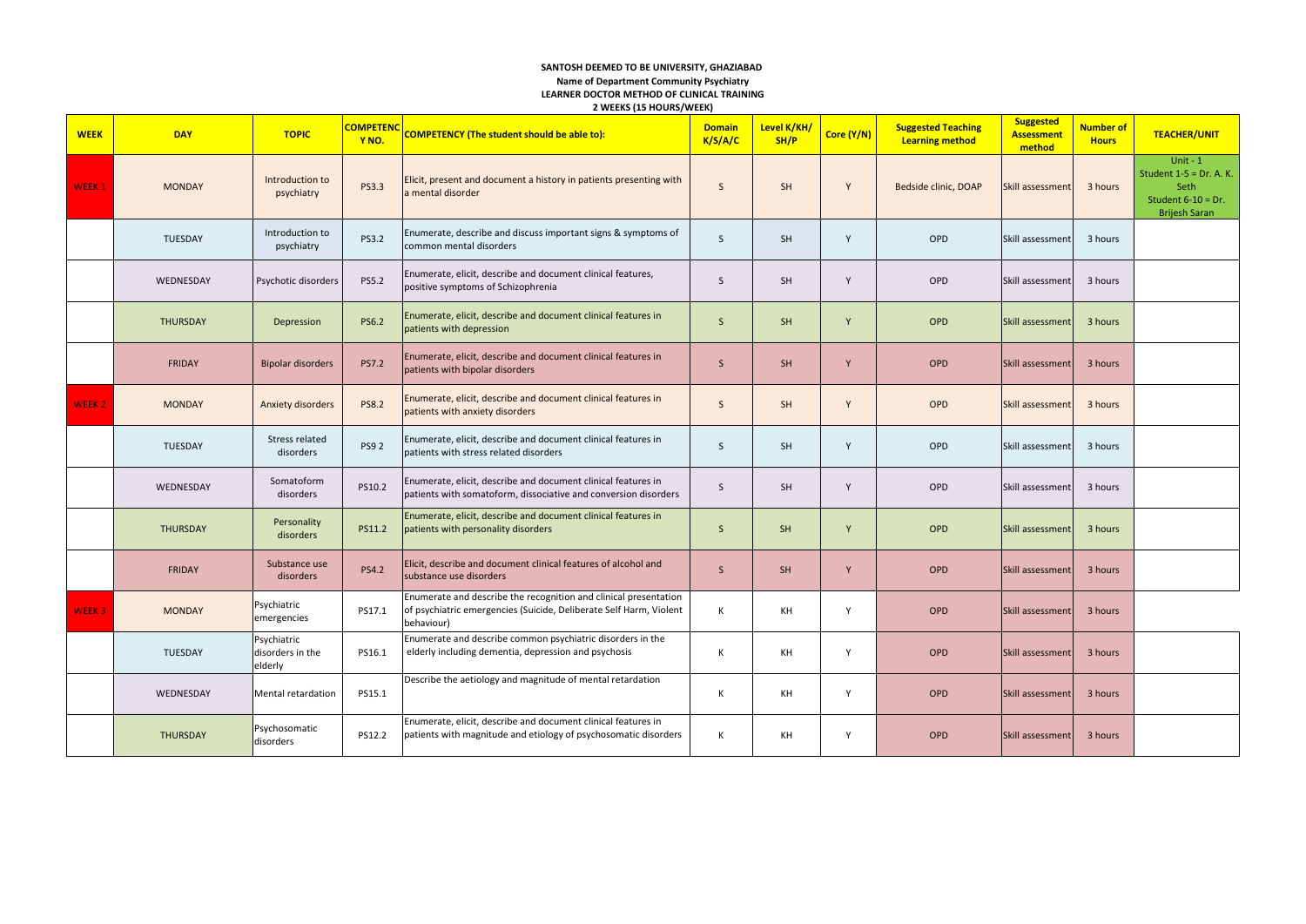#### **SANTOSH DEEMED TO BE UNIVERSITY, GHAZIABAD Name of Department Community Psychiatry LEARNER DOCTOR METHOD OF CLINICAL TRAINING 2 WEEKS (15 HOURS/WEEK)**

| <b>WEEK</b>       | <b>DAY</b>      | <b>TOPIC</b>                               | <b>COMPETENC</b><br>Y <sub>NO</sub> . | <b>COMPETENCY (The student should be able to):</b>                                                                                                   | <b>Domain</b><br>K/S/A/C | Level K/KH/<br>SH/P | Core (Y/N) | <b>Suggested Teaching</b><br><b>Learning method</b> | <b>Suggested</b><br><b>Assessment</b><br>method | <b>Number of</b><br><b>Hours</b> | <b>TEACHER/UNIT</b>                                                                              |
|-------------------|-----------------|--------------------------------------------|---------------------------------------|------------------------------------------------------------------------------------------------------------------------------------------------------|--------------------------|---------------------|------------|-----------------------------------------------------|-------------------------------------------------|----------------------------------|--------------------------------------------------------------------------------------------------|
| WEEK <sub>1</sub> | <b>MONDAY</b>   | Introduction to<br>psychiatry              | <b>PS3.3</b>                          | Elicit, present and document a history in patients presenting with<br>a mental disorder                                                              | $\mathsf{S}$             | <b>SH</b>           | Y          | Bedside clinic, DOAP                                | Skill assessment                                | 3 hours                          | Unit - $1$<br>Student $1-5 = Dr. A. K.$<br>Seth<br>Student $6-10 = Dr$ .<br><b>Brijesh Saran</b> |
|                   | TUESDAY         | Introduction to<br>psychiatry              | PS3.2                                 | Enumerate, describe and discuss important signs & symptoms of<br>common mental disorders                                                             | $\mathsf{S}$             | <b>SH</b>           | Y          | OPD                                                 | Skill assessment                                | 3 hours                          |                                                                                                  |
|                   | WEDNESDAY       | Psychotic disorders                        | PS5.2                                 | Enumerate, elicit, describe and document clinical features,<br>positive symptoms of Schizophrenia                                                    | <sub>S</sub>             | <b>SH</b>           | Y          | OPD                                                 | Skill assessment                                | 3 hours                          |                                                                                                  |
|                   | THURSDAY        | Depression                                 | <b>PS6.2</b>                          | Enumerate, elicit, describe and document clinical features in<br>patients with depression                                                            | $\mathsf{S}$             | SH                  | Y          | OPD                                                 | Skill assessment                                | 3 hours                          |                                                                                                  |
|                   | <b>FRIDAY</b>   | <b>Bipolar disorders</b>                   | <b>PS7.2</b>                          | Enumerate, elicit, describe and document clinical features in<br>patients with bipolar disorders                                                     | $\mathsf{S}$             | SH                  | Y          | OPD                                                 | Skill assessment                                | 3 hours                          |                                                                                                  |
| <b>WEEK2</b>      | <b>MONDAY</b>   | Anxiety disorders                          | <b>PS8.2</b>                          | Enumerate, elicit, describe and document clinical features in<br>patients with anxiety disorders                                                     | $\mathsf{S}$             | SH                  | Y          | OPD                                                 | Skill assessment                                | 3 hours                          |                                                                                                  |
|                   | TUESDAY         | Stress related<br>disorders                | <b>PS92</b>                           | Enumerate, elicit, describe and document clinical features in<br>patients with stress related disorders                                              | S                        | SH                  | Y          | OPD                                                 | Skill assessment                                | 3 hours                          |                                                                                                  |
|                   | WEDNESDAY       | Somatoform<br>disorders                    | PS10.2                                | Enumerate, elicit, describe and document clinical features in<br>patients with somatoform, dissociative and conversion disorders                     | S                        | <b>SH</b>           | Y          | OPD                                                 | Skill assessment                                | 3 hours                          |                                                                                                  |
|                   | <b>THURSDAY</b> | Personality<br>disorders                   | PS11.2                                | Enumerate, elicit, describe and document clinical features in<br>patients with personality disorders                                                 | <sub>S</sub>             | <b>SH</b>           | Y          | OPD                                                 | Skill assessment                                | 3 hours                          |                                                                                                  |
|                   | <b>FRIDAY</b>   | Substance use<br>disorders                 | <b>PS4.2</b>                          | Elicit, describe and document clinical features of alcohol and<br>substance use disorders                                                            | $\mathsf{S}$             | <b>SH</b>           | Y          | OPD                                                 | Skill assessment                                | 3 hours                          |                                                                                                  |
| <b>WEEK3</b>      | <b>MONDAY</b>   | Psychiatric<br>emergencies                 | PS17.1                                | Enumerate and describe the recognition and clinical presentation<br>of psychiatric emergencies (Suicide, Deliberate Self Harm, Violent<br>behaviour) | K                        | KH                  | Y          | OPD                                                 | Skill assessment                                | 3 hours                          |                                                                                                  |
|                   | <b>TUESDAY</b>  | Psychiatric<br>disorders in the<br>elderly | PS16.1                                | Enumerate and describe common psychiatric disorders in the<br>elderly including dementia, depression and psychosis                                   | K                        | KH                  | Y          | OPD                                                 | Skill assessment                                | 3 hours                          |                                                                                                  |
|                   | WEDNESDAY       | Mental retardation                         | PS15.1                                | Describe the aetiology and magnitude of mental retardation                                                                                           | К                        | KH                  | Υ          | OPD                                                 | Skill assessment                                | 3 hours                          |                                                                                                  |
|                   | THURSDAY        | Psychosomatic<br>disorders                 | PS12.2                                | Enumerate, elicit, describe and document clinical features in<br>patients with magnitude and etiology of psychosomatic disorders                     | К                        | KH                  | Υ          | OPD                                                 | Skill assessment                                | 3 hours                          |                                                                                                  |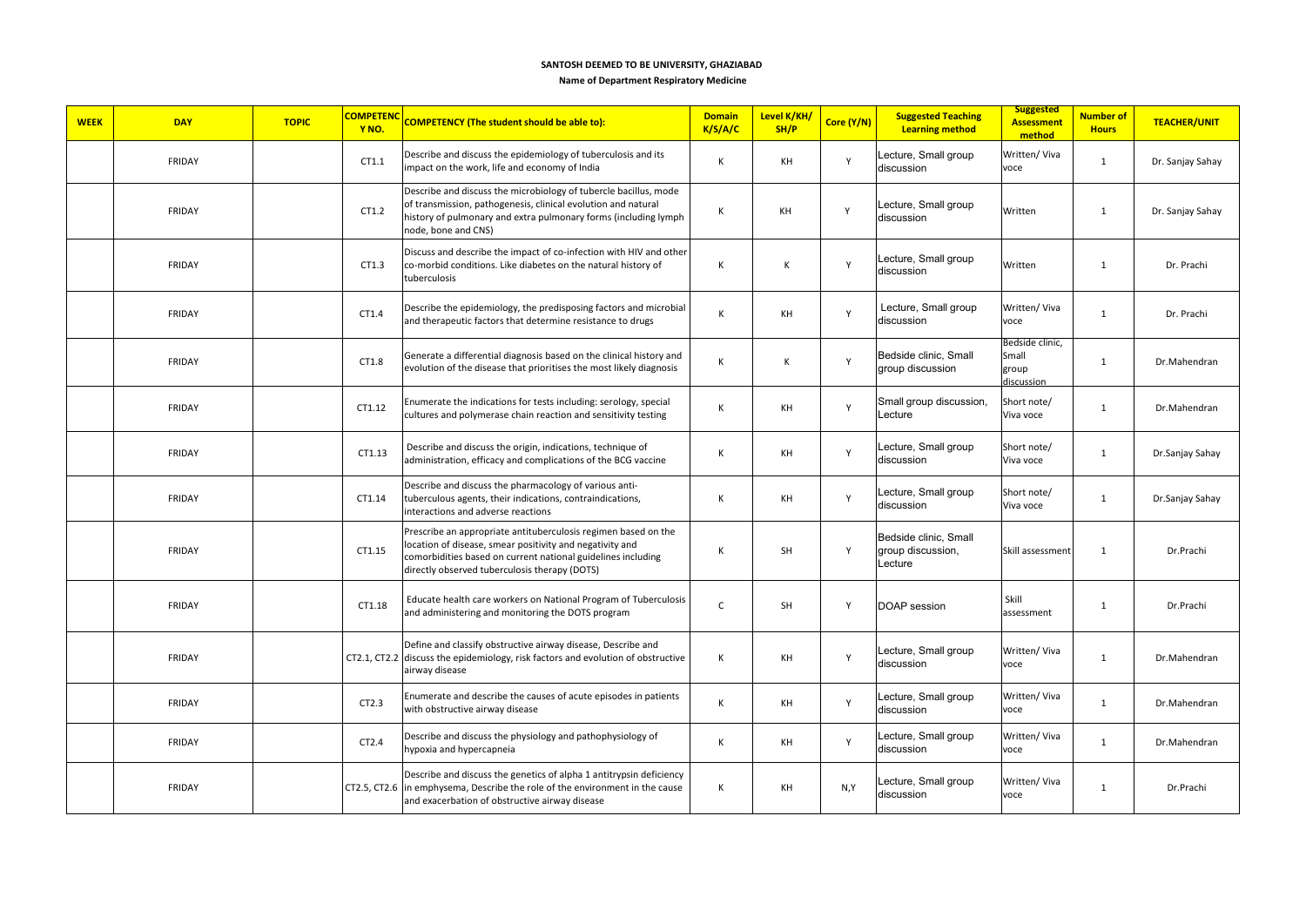**Name of Department Respiratory Medicine**

| <b>WEEK</b><br><b>DAY</b> | <b>TOPIC</b> | <b>COMPETENC</b><br>Y <sub>NO</sub> . | <b>COMPETENCY (The student should be able to):</b>                                                                                                                                                                                          | <b>Domain</b><br>K/S/A/C | Level K/KH/<br>SH/P | Core (Y/N)   | <b>Suggested Teaching</b><br><b>Learning method</b>   | <b>Suggested</b><br><b>Assessment</b><br>method | <b>Number of</b><br><b>Hours</b> | <b>TEACHER/UNIT</b> |
|---------------------------|--------------|---------------------------------------|---------------------------------------------------------------------------------------------------------------------------------------------------------------------------------------------------------------------------------------------|--------------------------|---------------------|--------------|-------------------------------------------------------|-------------------------------------------------|----------------------------------|---------------------|
| FRIDAY                    |              | CT1.1                                 | Describe and discuss the epidemiology of tuberculosis and its<br>impact on the work, life and economy of India                                                                                                                              | К                        | KH                  | Y            | Lecture, Small group<br>discussion                    | Written/ Viva<br>voce                           | $\mathbf{1}$                     | Dr. Sanjay Sahay    |
| FRIDAY                    |              | CT1.2                                 | Describe and discuss the microbiology of tubercle bacillus, mode<br>of transmission, pathogenesis, clinical evolution and natural<br>history of pulmonary and extra pulmonary forms (including lymph<br>node, bone and CNS)                 | К                        | KH                  | Y            | Lecture, Small group<br>discussion                    | Written                                         | $\mathbf{1}$                     | Dr. Sanjay Sahay    |
| <b>FRIDAY</b>             |              | CT1.3                                 | Discuss and describe the impact of co-infection with HIV and other<br>co-morbid conditions. Like diabetes on the natural history of<br>tuberculosis                                                                                         | К                        | К                   | Y            | Lecture, Small group<br>discussion                    | Written                                         | $\mathbf{1}$                     | Dr. Prachi          |
| FRIDAY                    |              | CT1.4                                 | Describe the epidemiology, the predisposing factors and microbial<br>and therapeutic factors that determine resistance to drugs                                                                                                             | К                        | KH                  | $\mathsf{Y}$ | Lecture, Small group<br>discussion                    | Written/Viva<br>voce                            | $\mathbf{1}$                     | Dr. Prachi          |
| <b>FRIDAY</b>             |              | CT1.8                                 | Generate a differential diagnosis based on the clinical history and<br>evolution of the disease that prioritises the most likely diagnosis                                                                                                  | К                        | Κ                   | Y            | Bedside clinic, Small<br>group discussion             | Bedside clinic.<br>Small<br>group<br>discussion | 1                                | Dr.Mahendran        |
| FRIDAY                    |              | CT1.12                                | Enumerate the indications for tests including: serology, special<br>cultures and polymerase chain reaction and sensitivity testing                                                                                                          | К                        | KH                  | Y            | Small group discussion,<br>Lecture                    | Short note/<br>Viva voce                        | $\mathbf{1}$                     | Dr.Mahendran        |
| FRIDAY                    |              | CT1.13                                | Describe and discuss the origin, indications, technique of<br>administration, efficacy and complications of the BCG vaccine                                                                                                                 | К                        | KH                  | Y            | Lecture, Small group<br>discussion                    | Short note/<br>Viva voce                        | $\mathbf{1}$                     | Dr.Sanjay Sahay     |
| <b>FRIDAY</b>             |              | CT1.14                                | Describe and discuss the pharmacology of various anti-<br>tuberculous agents, their indications, contraindications,<br>interactions and adverse reactions                                                                                   | К                        | KH                  | Y            | Lecture, Small group<br>discussion                    | Short note/<br>Viva voce                        | $\mathbf{1}$                     | Dr.Sanjay Sahay     |
| <b>FRIDAY</b>             |              | CT1.15                                | Prescribe an appropriate antituberculosis regimen based on the<br>location of disease, smear positivity and negativity and<br>comorbidities based on current national guidelines including<br>directly observed tuberculosis therapy (DOTS) | К                        | SH                  | Y            | Bedside clinic, Small<br>group discussion,<br>Lecture | Skill assessment                                | $\mathbf{1}$                     | Dr.Prachi           |
| FRIDAY                    |              | CT1.18                                | Educate health care workers on National Program of Tuberculosis<br>and administering and monitoring the DOTS program                                                                                                                        | $\mathsf C$              | SH                  | Y            | <b>DOAP</b> session                                   | Skill<br>assessment                             | $\mathbf{1}$                     | Dr.Prachi           |
| FRIDAY                    |              |                                       | Define and classify obstructive airway disease, Describe and<br>CT2.1, CT2.2 discuss the epidemiology, risk factors and evolution of obstructive<br>airway disease                                                                          | К                        | KH                  | Υ            | Lecture, Small group<br>discussion                    | Written/Viva<br>voce                            | $\mathbf{1}$                     | Dr.Mahendran        |
| FRIDAY                    |              | CT2.3                                 | Enumerate and describe the causes of acute episodes in patients<br>with obstructive airway disease                                                                                                                                          | К                        | KH                  | Y            | Lecture, Small group<br>discussion                    | Written/ Viva<br>voce                           | $\mathbf{1}$                     | Dr.Mahendran        |
| FRIDAY                    |              | CT2.4                                 | Describe and discuss the physiology and pathophysiology of<br>hypoxia and hypercapneia                                                                                                                                                      | К                        | KH                  | Y            | Lecture, Small group<br>discussion                    | Written/ Viva<br>voce                           | $\mathbf{1}$                     | Dr.Mahendran        |
| FRIDAY                    |              |                                       | Describe and discuss the genetics of alpha 1 antitrypsin deficiency<br>CT2.5, CT2.6 in emphysema, Describe the role of the environment in the cause<br>and exacerbation of obstructive airway disease                                       | К                        | KH                  | N,Y          | Lecture, Small group<br>discussion                    | Written/ Viva<br>voce                           | $\mathbf{1}$                     | Dr.Prachi           |